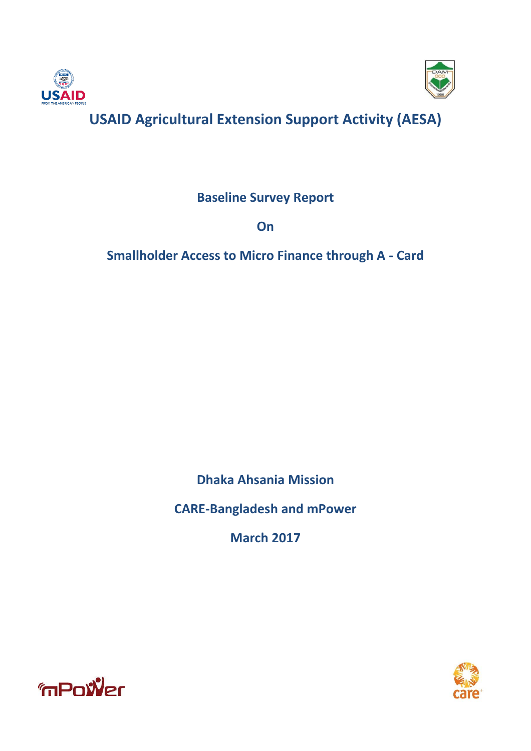



# **USAID Agricultural Extension Support Activity (AESA)**

**Baseline Survey Report** 

**On**

**Smallholder Access to Micro Finance through A - Card**

**Dhaka Ahsania Mission**

**CARE-Bangladesh and mPower**

**March 2017**



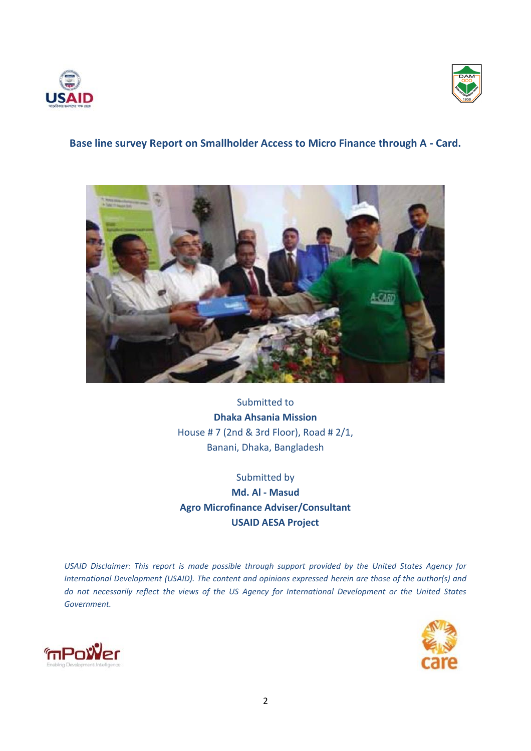



# **Base line survey Report on Smallholder Access to Micro Finance through A - Card.**



Submitted to **Dhaka Ahsania Mission** House # 7 (2nd & 3rd Floor), Road # 2/1, Banani, Dhaka, Bangladesh

Submitted by **Md. Al - Masud Agro Microfinance Adviser/Consultant USAID AESA Project**

*USAID Disclaimer: This report is made possible through support provided by the United States Agency for International Development (USAID). The content and opinions expressed herein are those of the author(s) and do not necessarily reflect the views of the US Agency for International Development or the United States Government.*



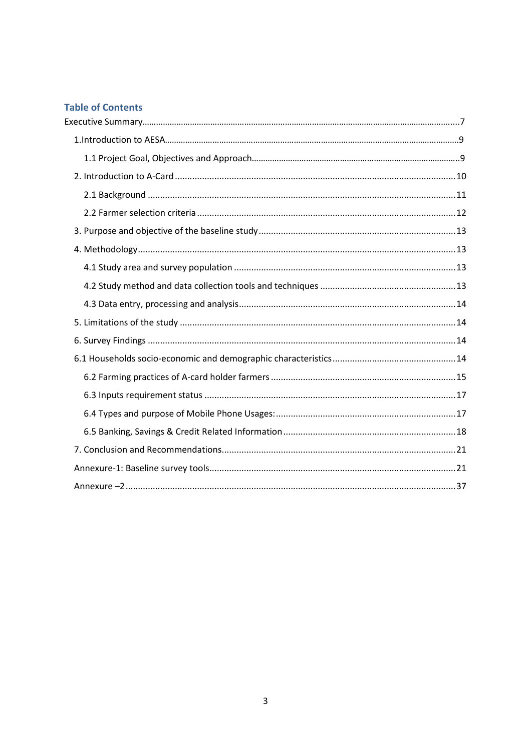# **Table of Contents**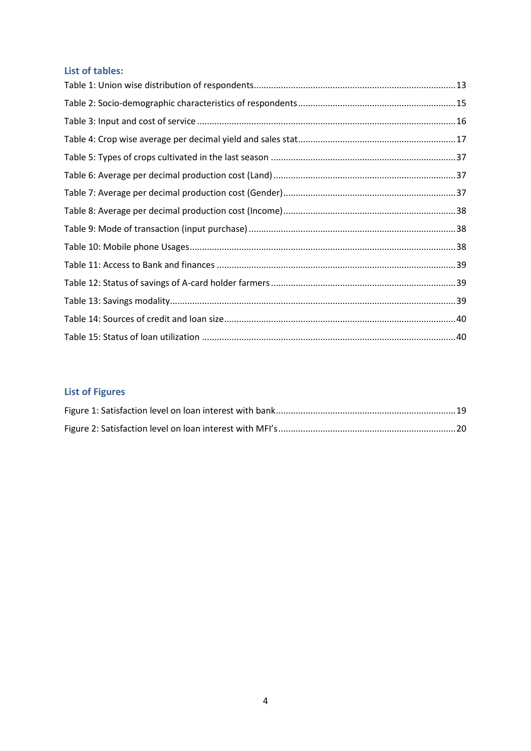# **List of tables:**

# **List of Figures**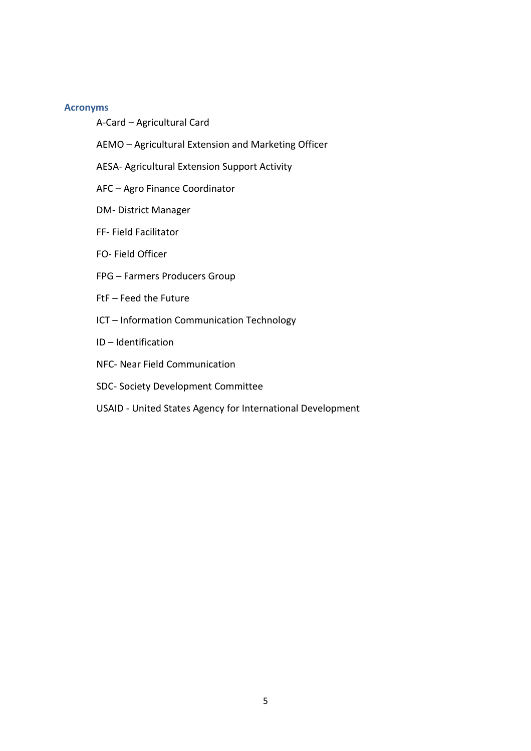#### **Acronyms**

- A-Card Agricultural Card
- AEMO Agricultural Extension and Marketing Officer
- AESA- Agricultural Extension Support Activity
- AFC Agro Finance Coordinator
- DM- District Manager
- FF- Field Facilitator
- FO- Field Officer
- FPG Farmers Producers Group
- FtF Feed the Future
- ICT Information Communication Technology
- ID Identification
- NFC- Near Field Communication
- SDC- Society Development Committee
- USAID United States Agency for International Development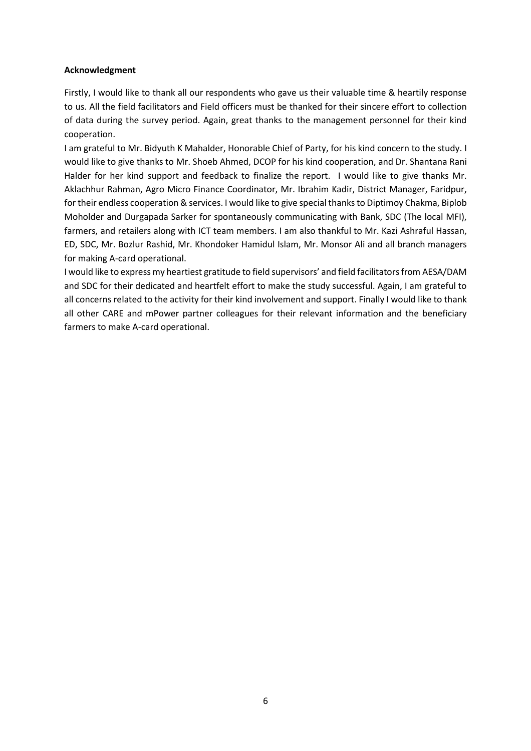#### **Acknowledgment**

Firstly, I would like to thank all our respondents who gave us their valuable time & heartily response to us. All the field facilitators and Field officers must be thanked for their sincere effort to collection of data during the survey period. Again, great thanks to the management personnel for their kind cooperation.

I am grateful to Mr. Bidyuth K Mahalder, Honorable Chief of Party, for his kind concern to the study. I would like to give thanks to Mr. Shoeb Ahmed, DCOP for his kind cooperation, and Dr. Shantana Rani Halder for her kind support and feedback to finalize the report. I would like to give thanks Mr. Aklachhur Rahman, Agro Micro Finance Coordinator, Mr. Ibrahim Kadir, District Manager, Faridpur, for their endless cooperation & services. I would like to give special thanks to Diptimoy Chakma, Biplob Moholder and Durgapada Sarker for spontaneously communicating with Bank, SDC (The local MFI), farmers, and retailers along with ICT team members. I am also thankful to Mr. Kazi Ashraful Hassan, ED, SDC, Mr. Bozlur Rashid, Mr. Khondoker Hamidul Islam, Mr. Monsor Ali and all branch managers for making A-card operational.

I would like to express my heartiest gratitude to field supervisors' and field facilitators from AESA/DAM and SDC for their dedicated and heartfelt effort to make the study successful. Again, I am grateful to all concerns related to the activity for their kind involvement and support. Finally I would like to thank all other CARE and mPower partner colleagues for their relevant information and the beneficiary farmers to make A-card operational.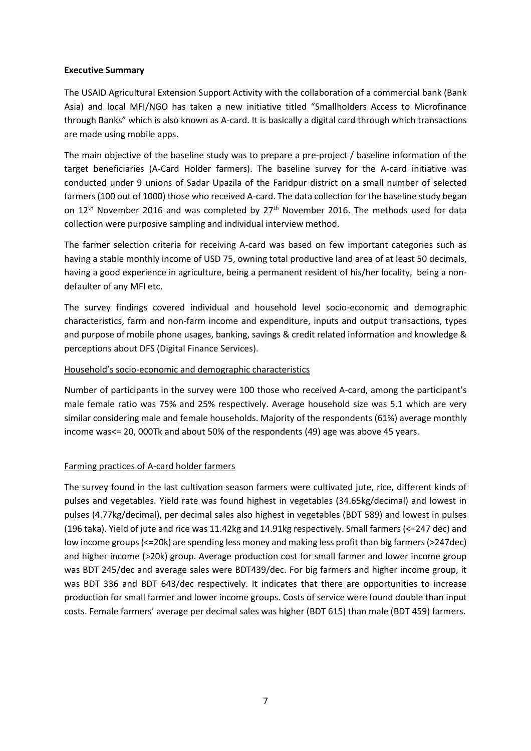#### **Executive Summary**

The USAID Agricultural Extension Support Activity with the collaboration of a commercial bank (Bank Asia) and local MFI/NGO has taken a new initiative titled "Smallholders Access to Microfinance through Banks" which is also known as A-card. It is basically a digital card through which transactions are made using mobile apps.

The main objective of the baseline study was to prepare a pre‐project / baseline information of the target beneficiaries (A-Card Holder farmers). The baseline survey for the A-card initiative was conducted under 9 unions of Sadar Upazila of the Faridpur district on a small number of selected farmers (100 out of 1000) those who received A-card. The data collection for the baseline study began on  $12<sup>th</sup>$  November 2016 and was completed by  $27<sup>th</sup>$  November 2016. The methods used for data collection were purposive sampling and individual interview method.

The farmer selection criteria for receiving A-card was based on few important categories such as having a stable monthly income of USD 75, owning total productive land area of at least 50 decimals, having a good experience in agriculture, being a permanent resident of his/her locality, being a nondefaulter of any MFI etc.

The survey findings covered individual and household level socio-economic and demographic characteristics, farm and non-farm income and expenditure, inputs and output transactions, types and purpose of mobile phone usages, banking, savings & credit related information and knowledge & perceptions about DFS (Digital Finance Services).

# Household's socio-economic and demographic characteristics

Number of participants in the survey were 100 those who received A-card, among the participant's male female ratio was 75% and 25% respectively. Average household size was 5.1 which are very similar considering male and female households. Majority of the respondents (61%) average monthly income was<= 20, 000Tk and about 50% of the respondents (49) age was above 45 years.

# Farming practices of A-card holder farmers

The survey found in the last cultivation season farmers were cultivated jute, rice, different kinds of pulses and vegetables. Yield rate was found highest in vegetables (34.65kg/decimal) and lowest in pulses (4.77kg/decimal), per decimal sales also highest in vegetables (BDT 589) and lowest in pulses (196 taka). Yield of jute and rice was 11.42kg and 14.91kg respectively. Small farmers (<=247 dec) and low income groups (<=20k) are spending less money and making less profit than big farmers (>247dec) and higher income (>20k) group. Average production cost for small farmer and lower income group was BDT 245/dec and average sales were BDT439/dec. For big farmers and higher income group, it was BDT 336 and BDT 643/dec respectively. It indicates that there are opportunities to increase production for small farmer and lower income groups. Costs of service were found double than input costs. Female farmers' average per decimal sales was higher (BDT 615) than male (BDT 459) farmers.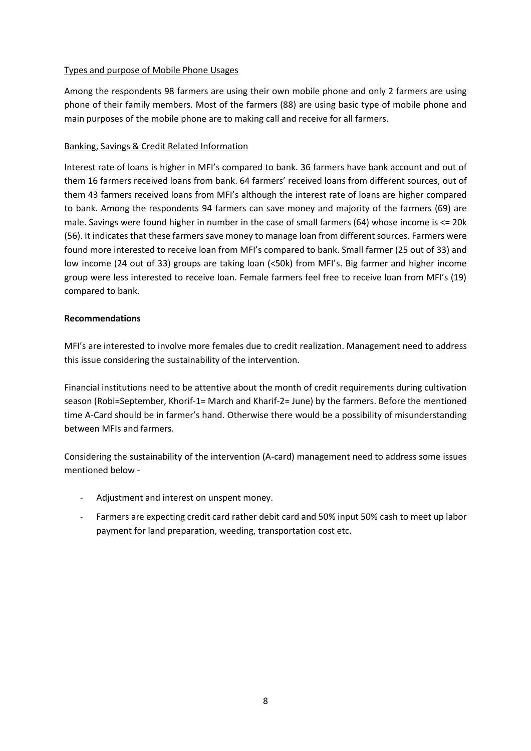# Types and purpose of Mobile Phone Usages

Among the respondents 98 farmers are using their own mobile phone and only 2 farmers are using phone of their family members. Most of the farmers (88) are using basic type of mobile phone and main purposes of the mobile phone are to making call and receive for all farmers.

### Banking, Savings & Credit Related Information

Interest rate of loans is higher in MFI's compared to bank. 36 farmers have bank account and out of them 16 farmers received loans from bank. 64 farmers' received loans from different sources, out of them 43 farmers received loans from MFI's although the interest rate of loans are higher compared to bank. Among the respondents 94 farmers can save money and majority of the farmers (69) are male. Savings were found higher in number in the case of small farmers (64) whose income is <= 20k (56). It indicates that these farmers save money to manage loan from different sources. Farmers were found more interested to receive loan from MFI's compared to bank. Small farmer (25 out of 33) and low income (24 out of 33) groups are taking loan (<50k) from MFI's. Big farmer and higher income group were less interested to receive loan. Female farmers feel free to receive loan from MFI's (19) compared to bank.

### **Recommendations**

MFI's are interested to involve more females due to credit realization. Management need to address this issue considering the sustainability of the intervention.

Financial institutions need to be attentive about the month of credit requirements during cultivation season (Robi=September, Khorif-1= March and Kharif-2= June) by the farmers. Before the mentioned time A-Card should be in farmer's hand. Otherwise there would be a possibility of misunderstanding between MFIs and farmers.

Considering the sustainability of the intervention (A-card) management need to address some issues mentioned below -

- Adjustment and interest on unspent money.
- Farmers are expecting credit card rather debit card and 50% input 50% cash to meet up labor payment for land preparation, weeding, transportation cost etc.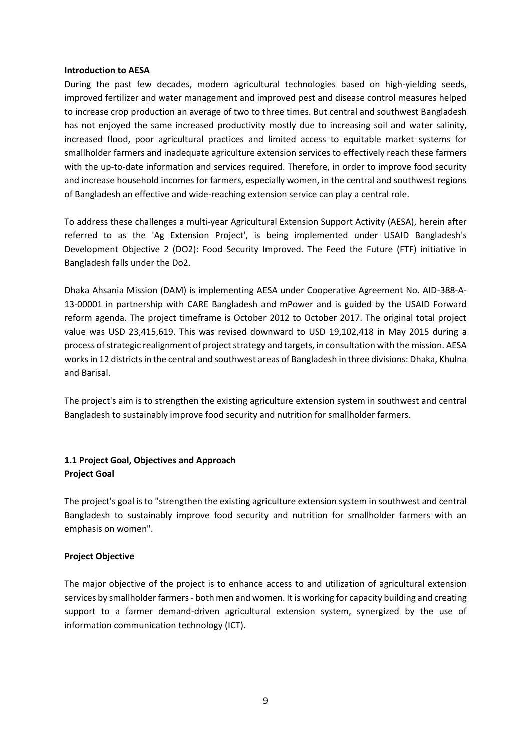#### **Introduction to AESA**

During the past few decades, modern agricultural technologies based on high-yielding seeds, improved fertilizer and water management and improved pest and disease control measures helped to increase crop production an average of two to three times. But central and southwest Bangladesh has not enjoyed the same increased productivity mostly due to increasing soil and water salinity, increased flood, poor agricultural practices and limited access to equitable market systems for smallholder farmers and inadequate agriculture extension services to effectively reach these farmers with the up-to-date information and services required. Therefore, in order to improve food security and increase household incomes for farmers, especially women, in the central and southwest regions of Bangladesh an effective and wide-reaching extension service can play a central role.

To address these challenges a multi-year Agricultural Extension Support Activity (AESA), herein after referred to as the 'Ag Extension Project', is being implemented under USAID Bangladesh's Development Objective 2 (DO2): Food Security Improved. The Feed the Future (FTF) initiative in Bangladesh falls under the Do2.

Dhaka Ahsania Mission (DAM) is implementing AESA under Cooperative Agreement No. AID-388-A-13-00001 in partnership with CARE Bangladesh and mPower and is guided by the USAID Forward reform agenda. The project timeframe is October 2012 to October 2017. The original total project value was USD 23,415,619. This was revised downward to USD 19,102,418 in May 2015 during a process of strategic realignment of project strategy and targets, in consultation with the mission. AESA works in 12 districts in the central and southwest areas of Bangladesh in three divisions: Dhaka, Khulna and Barisal.

The project's aim is to strengthen the existing agriculture extension system in southwest and central Bangladesh to sustainably improve food security and nutrition for smallholder farmers.

# **1.1 Project Goal, Objectives and Approach Project Goal**

The project's goal is to "strengthen the existing agriculture extension system in southwest and central Bangladesh to sustainably improve food security and nutrition for smallholder farmers with an emphasis on women".

#### **Project Objective**

The major objective of the project is to enhance access to and utilization of agricultural extension services by smallholder farmers - both men and women. It is working for capacity building and creating support to a farmer demand-driven agricultural extension system, synergized by the use of information communication technology (ICT).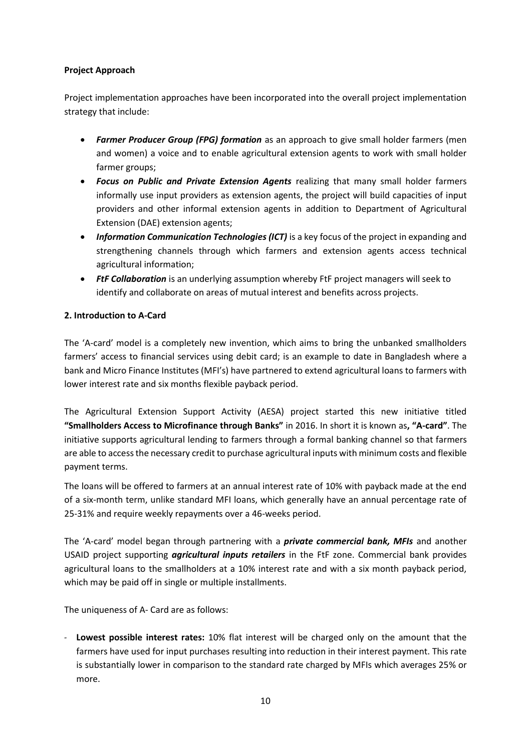# **Project Approach**

Project implementation approaches have been incorporated into the overall project implementation strategy that include:

- *Farmer Producer Group (FPG) formation* as an approach to give small holder farmers (men and women) a voice and to enable agricultural extension agents to work with small holder farmer groups;
- *Focus on Public and Private Extension Agents* realizing that many small holder farmers informally use input providers as extension agents, the project will build capacities of input providers and other informal extension agents in addition to Department of Agricultural Extension (DAE) extension agents;
- **•** Information Communication Technologies (ICT) is a key focus of the project in expanding and strengthening channels through which farmers and extension agents access technical agricultural information;
- *FtF Collaboration* is an underlying assumption whereby FtF project managers will seek to identify and collaborate on areas of mutual interest and benefits across projects.

# <span id="page-9-0"></span>**2. Introduction to A-Card**

The 'A-card' model is a completely new invention, which aims to bring the unbanked smallholders farmers' access to financial services using debit card; is an example to date in Bangladesh where a bank and Micro Finance Institutes (MFI's) have partnered to extend agricultural loans to farmers with lower interest rate and six months flexible payback period.

The Agricultural Extension Support Activity (AESA) project started this new initiative titled **"Smallholders Access to Microfinance through Banks"** in 2016. In short it is known as**, "A-card"**. The initiative supports agricultural lending to farmers through a formal banking channel so that farmers are able to access the necessary credit to purchase agricultural inputs with minimum costs and flexible payment terms.

The loans will be offered to farmers at an annual interest rate of 10% with payback made at the end of a six-month term, unlike standard MFI loans, which generally have an annual percentage rate of 25-31% and require weekly repayments over a 46-weeks period.

The 'A-card' model began through partnering with a *private commercial bank, MFIs* and another USAID project supporting *agricultural inputs retailers* in the FtF zone. Commercial bank provides agricultural loans to the smallholders at a 10% interest rate and with a six month payback period, which may be paid off in single or multiple installments.

The uniqueness of A- Card are as follows:

- **Lowest possible interest rates:** 10% flat interest will be charged only on the amount that the farmers have used for input purchases resulting into reduction in their interest payment. This rate is substantially lower in comparison to the standard rate charged by MFIs which averages 25% or more.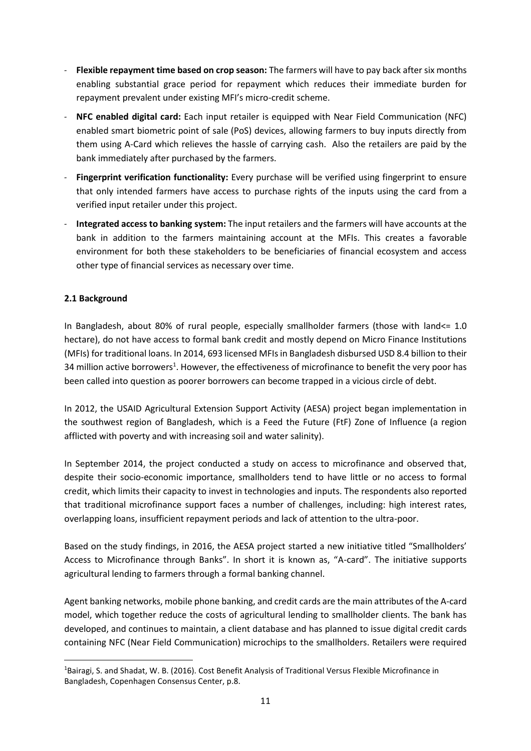- Flexible repayment time based on crop season: The farmers will have to pay back after six months enabling substantial grace period for repayment which reduces their immediate burden for repayment prevalent under existing MFI's micro-credit scheme.
- **NFC enabled digital card:** Each input retailer is equipped with Near Field Communication (NFC) enabled smart biometric point of sale (PoS) devices, allowing farmers to buy inputs directly from them using A-Card which relieves the hassle of carrying cash. Also the retailers are paid by the bank immediately after purchased by the farmers.
- **Fingerprint verification functionality:** Every purchase will be verified using fingerprint to ensure that only intended farmers have access to purchase rights of the inputs using the card from a verified input retailer under this project.
- **Integrated access to banking system:** The input retailers and the farmers will have accounts at the bank in addition to the farmers maintaining account at the MFIs. This creates a favorable environment for both these stakeholders to be beneficiaries of financial ecosystem and access other type of financial services as necessary over time.

# <span id="page-10-0"></span>**2.1 Background**

 $\overline{a}$ 

In Bangladesh, about 80% of rural people, especially smallholder farmers (those with land<= 1.0 hectare), do not have access to formal bank credit and mostly depend on Micro Finance Institutions (MFIs) for traditional loans. In 2014, 693 licensed MFIs in Bangladesh disbursed USD 8.4 billion to their 34 million active borrowers<sup>1</sup>. However, the effectiveness of microfinance to benefit the very poor has been called into question as poorer borrowers can become trapped in a vicious circle of debt.

In 2012, the USAID Agricultural Extension Support Activity (AESA) project began implementation in the southwest region of Bangladesh, which is a Feed the Future (FtF) Zone of Influence (a region afflicted with poverty and with increasing soil and water salinity).

In September 2014, the project conducted a study on access to microfinance and observed that, despite their socio-economic importance, smallholders tend to have little or no access to formal credit, which limits their capacity to invest in technologies and inputs. The respondents also reported that traditional microfinance support faces a number of challenges, including: high interest rates, overlapping loans, insufficient repayment periods and lack of attention to the ultra-poor.

Based on the study findings, in 2016, the AESA project started a new initiative titled "Smallholders' Access to Microfinance through Banks". In short it is known as, "A-card". The initiative supports agricultural lending to farmers through a formal banking channel.

Agent banking networks, mobile phone banking, and credit cards are the main attributes of the A-card model, which together reduce the costs of agricultural lending to smallholder clients. The bank has developed, and continues to maintain, a client database and has planned to issue digital credit cards containing NFC (Near Field Communication) microchips to the smallholders. Retailers were required

<sup>&</sup>lt;sup>1</sup>Bairagi, S. and Shadat, W. B. (2016). Cost Benefit Analysis of Traditional Versus Flexible Microfinance in Bangladesh, Copenhagen Consensus Center, p.8.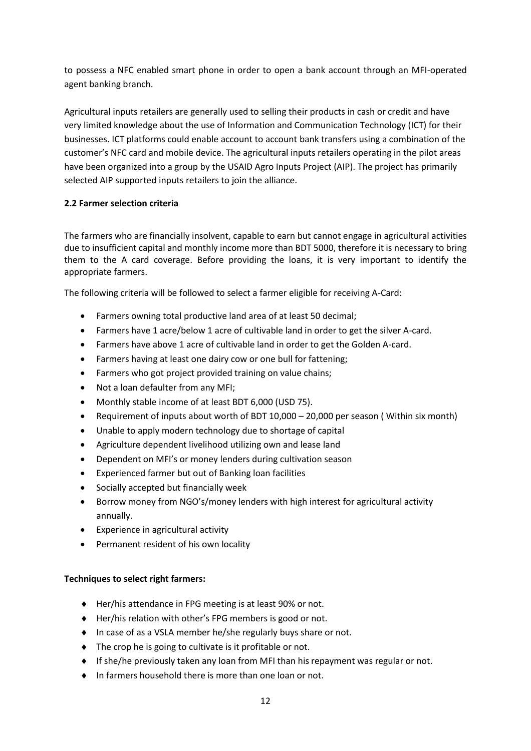to possess a NFC enabled smart phone in order to open a bank account through an MFI-operated agent banking branch.

Agricultural inputs retailers are generally used to selling their products in cash or credit and have very limited knowledge about the use of Information and Communication Technology (ICT) for their businesses. ICT platforms could enable account to account bank transfers using a combination of the customer's NFC card and mobile device. The agricultural inputs retailers operating in the pilot areas have been organized into a group by the USAID Agro Inputs Project (AIP). The project has primarily selected AIP supported inputs retailers to join the alliance.

# <span id="page-11-0"></span>**2.2 Farmer selection criteria**

The farmers who are financially insolvent, capable to earn but cannot engage in agricultural activities due to insufficient capital and monthly income more than BDT 5000, therefore it is necessary to bring them to the A card coverage. Before providing the loans, it is very important to identify the appropriate farmers.

The following criteria will be followed to select a farmer eligible for receiving A-Card:

- Farmers owning total productive land area of at least 50 decimal;
- Farmers have 1 acre/below 1 acre of cultivable land in order to get the silver A-card.
- Farmers have above 1 acre of cultivable land in order to get the Golden A-card.
- Farmers having at least one dairy cow or one bull for fattening;
- Farmers who got project provided training on value chains;
- Not a loan defaulter from any MFI;
- Monthly stable income of at least BDT 6,000 (USD 75).
- Requirement of inputs about worth of BDT 10,000 20,000 per season ( Within six month)
- Unable to apply modern technology due to shortage of capital
- Agriculture dependent livelihood utilizing own and lease land
- Dependent on MFI's or money lenders during cultivation season
- Experienced farmer but out of Banking loan facilities
- Socially accepted but financially week
- Borrow money from NGO's/money lenders with high interest for agricultural activity annually.
- Experience in agricultural activity
- Permanent resident of his own locality

# **Techniques to select right farmers:**

- ◆ Her/his attendance in FPG meeting is at least 90% or not.
- ◆ Her/his relation with other's FPG members is good or not.
- ◆ In case of as a VSLA member he/she regularly buys share or not.
- ◆ The crop he is going to cultivate is it profitable or not.
- $\bullet$  If she/he previously taken any loan from MFI than his repayment was regular or not.
- In farmers household there is more than one loan or not.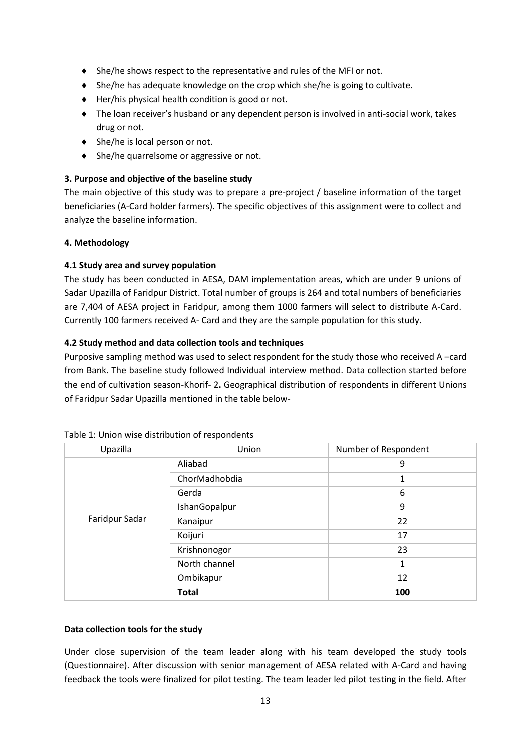- She/he shows respect to the representative and rules of the MFI or not.
- She/he has adequate knowledge on the crop which she/he is going to cultivate.
- $\blacklozenge$  Her/his physical health condition is good or not.
- The loan receiver's husband or any dependent person is involved in anti-social work, takes drug or not.
- ◆ She/he is local person or not.
- ◆ She/he quarrelsome or aggressive or not.

# <span id="page-12-0"></span>**3. Purpose and objective of the baseline study**

The main objective of this study was to prepare a pre‐project / baseline information of the target beneficiaries (A-Card holder farmers). The specific objectives of this assignment were to collect and analyze the baseline information.

# <span id="page-12-1"></span>**4. Methodology**

# <span id="page-12-2"></span>**4.1 Study area and survey population**

The study has been conducted in AESA, DAM implementation areas, which are under 9 unions of Sadar Upazilla of Faridpur District. Total number of groups is 264 and total numbers of beneficiaries are 7,404 of AESA project in Faridpur, among them 1000 farmers will select to distribute A-Card. Currently 100 farmers received A- Card and they are the sample population for this study.

# <span id="page-12-3"></span>**4.2 Study method and data collection tools and techniques**

Purposive sampling method was used to select respondent for the study those who received A –card from Bank. The baseline study followed Individual interview method. Data collection started before the end of cultivation season-Khorif- 2**.** Geographical distribution of respondents in different Unions of Faridpur Sadar Upazilla mentioned in the table below-

| Upazilla       | Number of Respondent<br>Union |              |
|----------------|-------------------------------|--------------|
|                | Aliabad                       | 9            |
|                | ChorMadhobdia                 | 1            |
|                | Gerda                         | 6            |
|                | IshanGopalpur                 | 9            |
| Faridpur Sadar | Kanaipur                      | 22           |
|                | Koijuri                       | 17           |
|                | Krishnonogor                  | 23           |
|                | North channel                 | $\mathbf{1}$ |
|                | Ombikapur                     | 12           |
|                | <b>Total</b>                  | 100          |

#### <span id="page-12-4"></span>Table 1: Union wise distribution of respondents

# **Data collection tools for the study**

Under close supervision of the team leader along with his team developed the study tools (Questionnaire). After discussion with senior management of AESA related with A-Card and having feedback the tools were finalized for pilot testing. The team leader led pilot testing in the field. After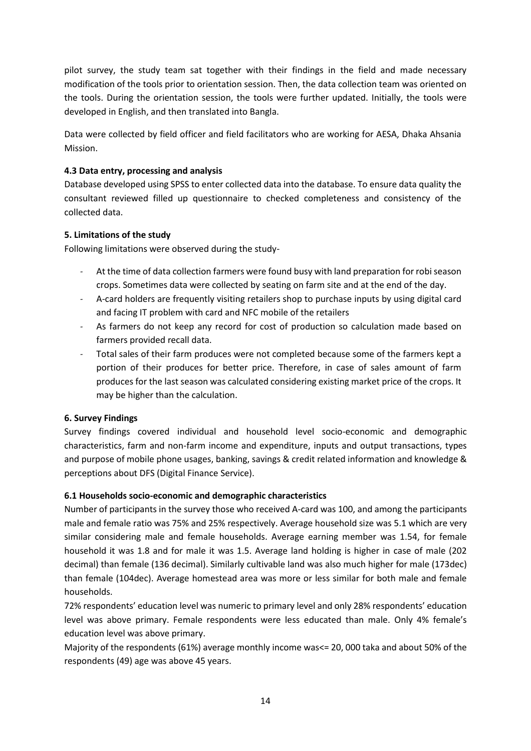pilot survey, the study team sat together with their findings in the field and made necessary modification of the tools prior to orientation session. Then, the data collection team was oriented on the tools. During the orientation session, the tools were further updated. Initially, the tools were developed in English, and then translated into Bangla.

Data were collected by field officer and field facilitators who are working for AESA, Dhaka Ahsania Mission.

# <span id="page-13-0"></span>**4.3 Data entry, processing and analysis**

Database developed using SPSS to enter collected data into the database. To ensure data quality the consultant reviewed filled up questionnaire to checked completeness and consistency of the collected data.

# <span id="page-13-1"></span>**5. Limitations of the study**

Following limitations were observed during the study-

- At the time of data collection farmers were found busy with land preparation for robi season crops. Sometimes data were collected by seating on farm site and at the end of the day.
- A-card holders are frequently visiting retailers shop to purchase inputs by using digital card and facing IT problem with card and NFC mobile of the retailers
- As farmers do not keep any record for cost of production so calculation made based on farmers provided recall data.
- Total sales of their farm produces were not completed because some of the farmers kept a portion of their produces for better price. Therefore, in case of sales amount of farm produces for the last season was calculated considering existing market price of the crops. It may be higher than the calculation.

# <span id="page-13-2"></span>**6. Survey Findings**

Survey findings covered individual and household level socio-economic and demographic characteristics, farm and non-farm income and expenditure, inputs and output transactions, types and purpose of mobile phone usages, banking, savings & credit related information and knowledge & perceptions about DFS (Digital Finance Service).

# <span id="page-13-3"></span>**6.1 Households socio-economic and demographic characteristics**

Number of participants in the survey those who received A-card was 100, and among the participants male and female ratio was 75% and 25% respectively. Average household size was 5.1 which are very similar considering male and female households. Average earning member was 1.54, for female household it was 1.8 and for male it was 1.5. Average land holding is higher in case of male (202 decimal) than female (136 decimal). Similarly cultivable land was also much higher for male (173dec) than female (104dec). Average homestead area was more or less similar for both male and female households.

72% respondents' education level was numeric to primary level and only 28% respondents' education level was above primary. Female respondents were less educated than male. Only 4% female's education level was above primary.

Majority of the respondents (61%) average monthly income was<= 20, 000 taka and about 50% of the respondents (49) age was above 45 years.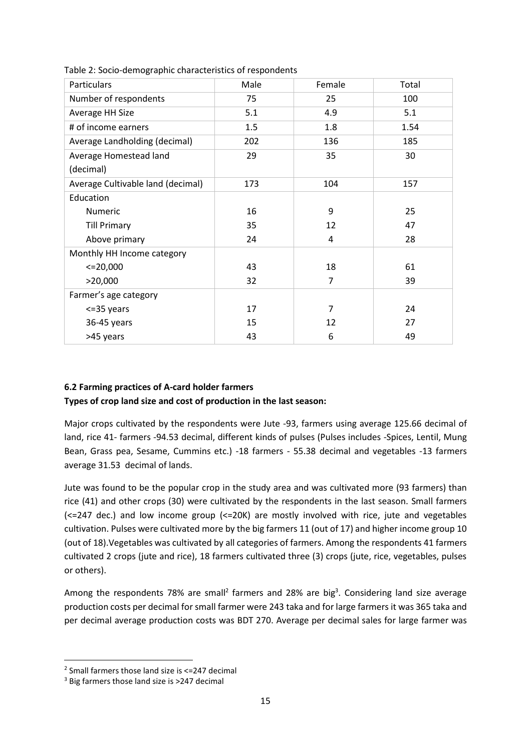| Particulars                       | Male | Female         | Total |
|-----------------------------------|------|----------------|-------|
| Number of respondents             | 75   | 25             | 100   |
| Average HH Size                   | 5.1  | 4.9            | 5.1   |
| # of income earners               | 1.5  | 1.8            | 1.54  |
| Average Landholding (decimal)     | 202  | 136            | 185   |
| Average Homestead land            | 29   | 35             | 30    |
| (decimal)                         |      |                |       |
| Average Cultivable land (decimal) | 173  | 104            | 157   |
| Education                         |      |                |       |
| Numeric                           | 16   | 9              | 25    |
| <b>Till Primary</b>               | 35   | 12             | 47    |
| Above primary                     | 24   | 4              | 28    |
| Monthly HH Income category        |      |                |       |
| $<=$ 20,000                       | 43   | 18             | 61    |
| >20,000                           | 32   | $\overline{7}$ | 39    |
| Farmer's age category             |      |                |       |
| $<=35$ years                      | 17   | $\overline{7}$ | 24    |
| 36-45 years                       | 15   | 12             | 27    |
| >45 years                         | 43   | 6              | 49    |

<span id="page-14-1"></span>Table 2: Socio-demographic characteristics of respondents

# <span id="page-14-0"></span>**6.2 Farming practices of A-card holder farmers Types of crop land size and cost of production in the last season:**

Major crops cultivated by the respondents were Jute -93, farmers using average 125.66 decimal of land, rice 41- farmers -94.53 decimal, different kinds of pulses (Pulses includes -Spices, Lentil, Mung Bean, Grass pea, Sesame, Cummins etc.) -18 farmers - 55.38 decimal and vegetables -13 farmers average 31.53 decimal of lands.

Jute was found to be the popular crop in the study area and was cultivated more (93 farmers) than rice (41) and other crops (30) were cultivated by the respondents in the last season. Small farmers (<=247 dec.) and low income group (<=20K) are mostly involved with rice, jute and vegetables cultivation. Pulses were cultivated more by the big farmers 11 (out of 17) and higher income group 10 (out of 18).Vegetables was cultivated by all categories of farmers. Among the respondents 41 farmers cultivated 2 crops (jute and rice), 18 farmers cultivated three (3) crops (jute, rice, vegetables, pulses or others).

Among the respondents 78% are small<sup>2</sup> farmers and 28% are big<sup>3</sup>. Considering land size average production costs per decimal for small farmer were 243 taka and for large farmers it was 365 taka and per decimal average production costs was BDT 270. Average per decimal sales for large farmer was

 $\overline{a}$ 

<sup>2</sup> Small farmers those land size is <=247 decimal

<sup>3</sup> Big farmers those land size is >247 decimal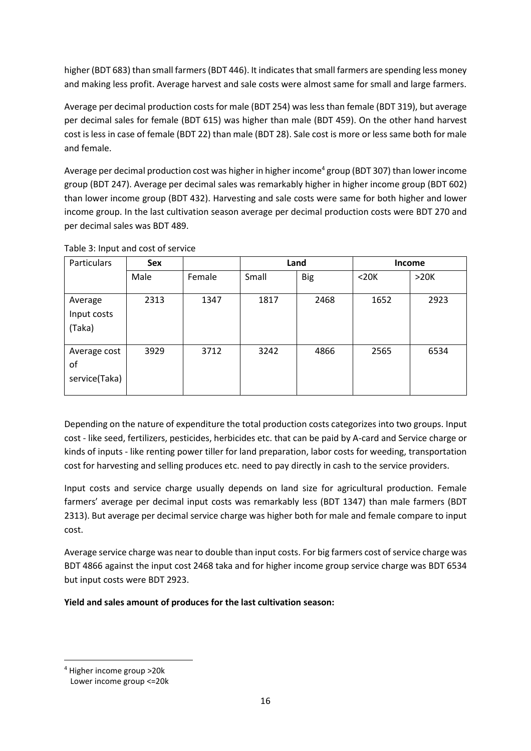higher (BDT 683) than small farmers (BDT 446). It indicates that small farmers are spending less money and making less profit. Average harvest and sale costs were almost same for small and large farmers.

Average per decimal production costs for male (BDT 254) was less than female (BDT 319), but average per decimal sales for female (BDT 615) was higher than male (BDT 459). On the other hand harvest cost is less in case of female (BDT 22) than male (BDT 28). Sale cost is more or less same both for male and female.

Average per decimal production cost was higher in higher income $^4$  group (BDT 307) than lower income group (BDT 247). Average per decimal sales was remarkably higher in higher income group (BDT 602) than lower income group (BDT 432). Harvesting and sale costs were same for both higher and lower income group. In the last cultivation season average per decimal production costs were BDT 270 and per decimal sales was BDT 489.

| Particulars                         | <b>Sex</b> |        |       | Land       |            | <b>Income</b> |
|-------------------------------------|------------|--------|-------|------------|------------|---------------|
|                                     | Male       | Female | Small | <b>Big</b> | $<$ 20 $K$ | >20K          |
| Average<br>Input costs<br>(Taka)    | 2313       | 1347   | 1817  | 2468       | 1652       | 2923          |
| Average cost<br>оf<br>service(Taka) | 3929       | 3712   | 3242  | 4866       | 2565       | 6534          |

<span id="page-15-0"></span>Table 3: Input and cost of service

Depending on the nature of expenditure the total production costs categorizes into two groups. Input cost - like seed, fertilizers, pesticides, herbicides etc. that can be paid by A-card and Service charge or kinds of inputs - like renting power tiller for land preparation, labor costs for weeding, transportation cost for harvesting and selling produces etc. need to pay directly in cash to the service providers.

Input costs and service charge usually depends on land size for agricultural production. Female farmers' average per decimal input costs was remarkably less (BDT 1347) than male farmers (BDT 2313). But average per decimal service charge was higher both for male and female compare to input cost.

Average service charge was near to double than input costs. For big farmers cost of service charge was BDT 4866 against the input cost 2468 taka and for higher income group service charge was BDT 6534 but input costs were BDT 2923.

**Yield and sales amount of produces for the last cultivation season:**

 $\overline{a}$ 

<sup>4</sup> Higher income group >20k

Lower income group <=20k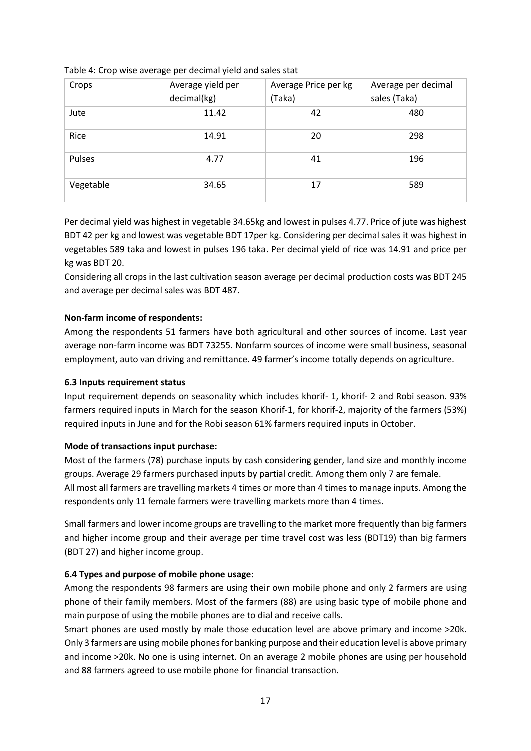| Crops     | Average yield per<br>decimal(kg) | Average Price per kg<br>(Taka) | Average per decimal<br>sales (Taka) |
|-----------|----------------------------------|--------------------------------|-------------------------------------|
| Jute      | 11.42                            | 42                             | 480                                 |
| Rice      | 14.91                            | 20                             | 298                                 |
| Pulses    | 4.77                             | 41                             | 196                                 |
| Vegetable | 34.65                            | 17                             | 589                                 |

### <span id="page-16-2"></span>Table 4: Crop wise average per decimal yield and sales stat

Per decimal yield was highest in vegetable 34.65kg and lowest in pulses 4.77. Price of jute was highest BDT 42 per kg and lowest was vegetable BDT 17per kg. Considering per decimal sales it was highest in vegetables 589 taka and lowest in pulses 196 taka. Per decimal yield of rice was 14.91 and price per kg was BDT 20.

Considering all crops in the last cultivation season average per decimal production costs was BDT 245 and average per decimal sales was BDT 487.

# **Non-farm income of respondents:**

Among the respondents 51 farmers have both agricultural and other sources of income. Last year average non-farm income was BDT 73255. Nonfarm sources of income were small business, seasonal employment, auto van driving and remittance. 49 farmer's income totally depends on agriculture.

# <span id="page-16-0"></span>**6.3 Inputs requirement status**

Input requirement depends on seasonality which includes khorif- 1, khorif- 2 and Robi season. 93% farmers required inputs in March for the season Khorif-1, for khorif-2, majority of the farmers (53%) required inputs in June and for the Robi season 61% farmers required inputs in October.

# **Mode of transactions input purchase:**

Most of the farmers (78) purchase inputs by cash considering gender, land size and monthly income groups. Average 29 farmers purchased inputs by partial credit. Among them only 7 are female. All most all farmers are travelling markets 4 times or more than 4 times to manage inputs. Among the respondents only 11 female farmers were travelling markets more than 4 times.

Small farmers and lower income groups are travelling to the market more frequently than big farmers and higher income group and their average per time travel cost was less (BDT19) than big farmers (BDT 27) and higher income group.

# <span id="page-16-1"></span>**6.4 Types and purpose of mobile phone usage:**

Among the respondents 98 farmers are using their own mobile phone and only 2 farmers are using phone of their family members. Most of the farmers (88) are using basic type of mobile phone and main purpose of using the mobile phones are to dial and receive calls.

Smart phones are used mostly by male those education level are above primary and income >20k. Only 3 farmers are using mobile phones for banking purpose and their education level is above primary and income >20k. No one is using internet. On an average 2 mobile phones are using per household and 88 farmers agreed to use mobile phone for financial transaction.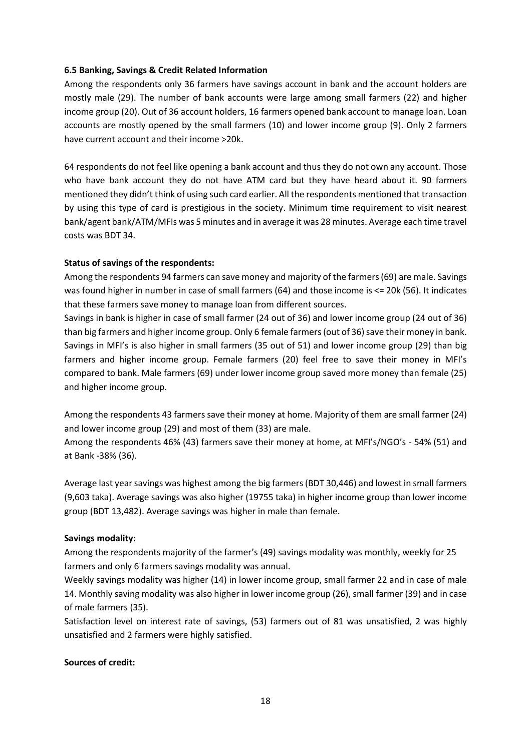### <span id="page-17-0"></span>**6.5 Banking, Savings & Credit Related Information**

Among the respondents only 36 farmers have savings account in bank and the account holders are mostly male (29). The number of bank accounts were large among small farmers (22) and higher income group (20). Out of 36 account holders, 16 farmers opened bank account to manage loan. Loan accounts are mostly opened by the small farmers (10) and lower income group (9). Only 2 farmers have current account and their income >20k.

64 respondents do not feel like opening a bank account and thus they do not own any account. Those who have bank account they do not have ATM card but they have heard about it. 90 farmers mentioned they didn't think of using such card earlier. All the respondents mentioned that transaction by using this type of card is prestigious in the society. Minimum time requirement to visit nearest bank/agent bank/ATM/MFIs was 5 minutes and in average it was 28 minutes. Average each time travel costs was BDT 34.

### **Status of savings of the respondents:**

Among the respondents 94 farmers can save money and majority of the farmers (69) are male. Savings was found higher in number in case of small farmers (64) and those income is <= 20k (56). It indicates that these farmers save money to manage loan from different sources.

Savings in bank is higher in case of small farmer (24 out of 36) and lower income group (24 out of 36) than big farmers and higher income group. Only 6 female farmers (out of 36) save their money in bank. Savings in MFI's is also higher in small farmers (35 out of 51) and lower income group (29) than big farmers and higher income group. Female farmers (20) feel free to save their money in MFI's compared to bank. Male farmers (69) under lower income group saved more money than female (25) and higher income group.

Among the respondents 43 farmers save their money at home. Majority of them are small farmer (24) and lower income group (29) and most of them (33) are male.

Among the respondents 46% (43) farmers save their money at home, at MFI's/NGO's - 54% (51) and at Bank -38% (36).

Average last year savings was highest among the big farmers (BDT 30,446) and lowest in small farmers (9,603 taka). Average savings was also higher (19755 taka) in higher income group than lower income group (BDT 13,482). Average savings was higher in male than female.

# **Savings modality:**

Among the respondents majority of the farmer's (49) savings modality was monthly, weekly for 25 farmers and only 6 farmers savings modality was annual.

Weekly savings modality was higher (14) in lower income group, small farmer 22 and in case of male 14. Monthly saving modality was also higher in lower income group (26), small farmer (39) and in case of male farmers (35).

Satisfaction level on interest rate of savings, (53) farmers out of 81 was unsatisfied, 2 was highly unsatisfied and 2 farmers were highly satisfied.

#### **Sources of credit:**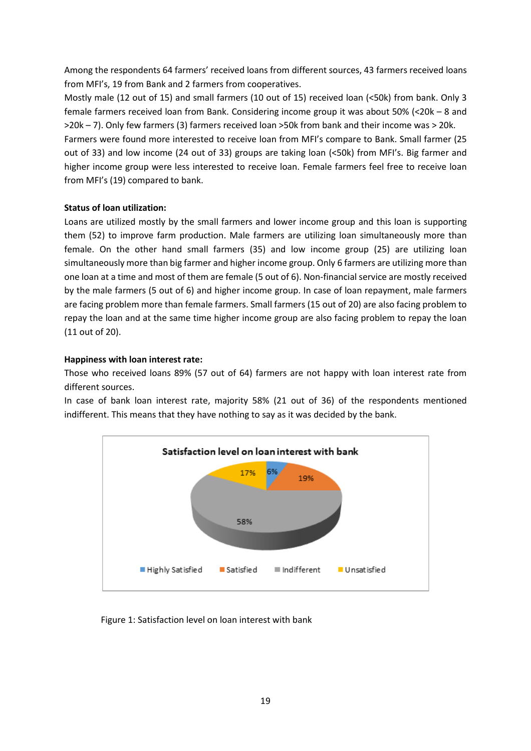Among the respondents 64 farmers' received loans from different sources, 43 farmers received loans from MFI's, 19 from Bank and 2 farmers from cooperatives.

Mostly male (12 out of 15) and small farmers (10 out of 15) received loan (<50k) from bank. Only 3 female farmers received loan from Bank. Considering income group it was about 50% (<20k – 8 and >20k – 7). Only few farmers (3) farmers received loan >50k from bank and their income was > 20k.

Farmers were found more interested to receive loan from MFI's compare to Bank. Small farmer (25 out of 33) and low income (24 out of 33) groups are taking loan (<50k) from MFI's. Big farmer and higher income group were less interested to receive loan. Female farmers feel free to receive loan from MFI's (19) compared to bank.

# **Status of loan utilization:**

Loans are utilized mostly by the small farmers and lower income group and this loan is supporting them (52) to improve farm production. Male farmers are utilizing loan simultaneously more than female. On the other hand small farmers (35) and low income group (25) are utilizing loan simultaneously more than big farmer and higher income group. Only 6 farmers are utilizing more than one loan at a time and most of them are female (5 out of 6). Non-financial service are mostly received by the male farmers (5 out of 6) and higher income group. In case of loan repayment, male farmers are facing problem more than female farmers. Small farmers (15 out of 20) are also facing problem to repay the loan and at the same time higher income group are also facing problem to repay the loan (11 out of 20).

### **Happiness with loan interest rate:**

Those who received loans 89% (57 out of 64) farmers are not happy with loan interest rate from different sources.

In case of bank loan interest rate, majority 58% (21 out of 36) of the respondents mentioned indifferent. This means that they have nothing to say as it was decided by the bank.

<span id="page-18-0"></span>

Figure 1: Satisfaction level on loan interest with bank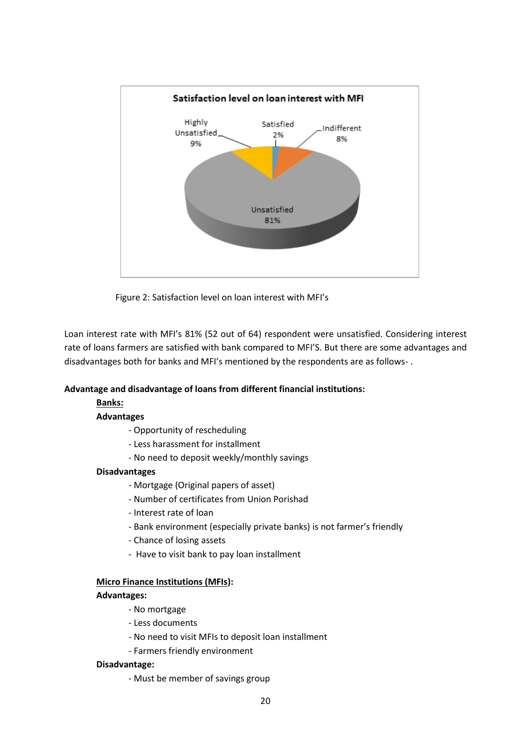

Figure 2: Satisfaction level on loan interest with MFI's

<span id="page-19-0"></span>Loan interest rate with MFI's 81% (52 out of 64) respondent were unsatisfied. Considering interest rate of loans farmers are satisfied with bank compared to MFI'S. But there are some advantages and disadvantages both for banks and MFI's mentioned by the respondents are as follows- .

# **Advantage and disadvantage of loans from different financial institutions:**

#### **Banks:**

#### **Advantages**

- Opportunity of rescheduling
- Less harassment for installment
- No need to deposit weekly/monthly savings

#### **Disadvantages**

- Mortgage (Original papers of asset)
- Number of certificates from Union Porishad
- Interest rate of loan
- Bank environment (especially private banks) is not farmer's friendly
- Chance of losing assets
- Have to visit bank to pay loan installment

#### **Micro Finance Institutions (MFIs):**

#### **Advantages:**

- No mortgage
- Less documents
- No need to visit MFIs to deposit loan installment
- Farmers friendly environment

#### **Disadvantage:**

- Must be member of savings group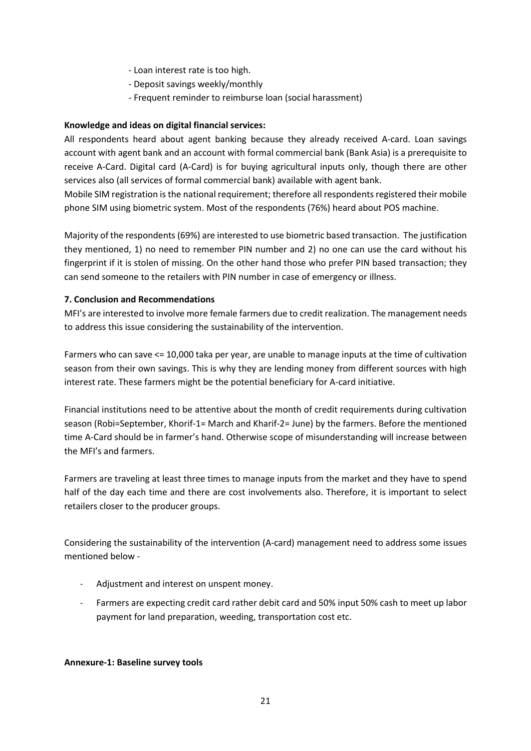- Loan interest rate is too high.
- Deposit savings weekly/monthly
- Frequent reminder to reimburse loan (social harassment)

### **Knowledge and ideas on digital financial services:**

All respondents heard about agent banking because they already received A-card. Loan savings account with agent bank and an account with formal commercial bank (Bank Asia) is a prerequisite to receive A-Card. Digital card (A-Card) is for buying agricultural inputs only, though there are other services also (all services of formal commercial bank) available with agent bank.

Mobile SIM registration is the national requirement; therefore all respondents registered their mobile phone SIM using biometric system. Most of the respondents (76%) heard about POS machine.

Majority of the respondents (69%) are interested to use biometric based transaction. The justification they mentioned, 1) no need to remember PIN number and 2) no one can use the card without his fingerprint if it is stolen of missing. On the other hand those who prefer PIN based transaction; they can send someone to the retailers with PIN number in case of emergency or illness.

### <span id="page-20-0"></span>**7. Conclusion and Recommendations**

MFI's are interested to involve more female farmers due to credit realization. The management needs to address this issue considering the sustainability of the intervention.

Farmers who can save <= 10,000 taka per year, are unable to manage inputs at the time of cultivation season from their own savings. This is why they are lending money from different sources with high interest rate. These farmers might be the potential beneficiary for A-card initiative.

Financial institutions need to be attentive about the month of credit requirements during cultivation season (Robi=September, Khorif-1= March and Kharif-2= June) by the farmers. Before the mentioned time A-Card should be in farmer's hand. Otherwise scope of misunderstanding will increase between the MFI's and farmers.

Farmers are traveling at least three times to manage inputs from the market and they have to spend half of the day each time and there are cost involvements also. Therefore, it is important to select retailers closer to the producer groups.

Considering the sustainability of the intervention (A-card) management need to address some issues mentioned below -

- Adjustment and interest on unspent money.
- Farmers are expecting credit card rather debit card and 50% input 50% cash to meet up labor payment for land preparation, weeding, transportation cost etc.

#### <span id="page-20-1"></span>**Annexure-1: Baseline survey tools**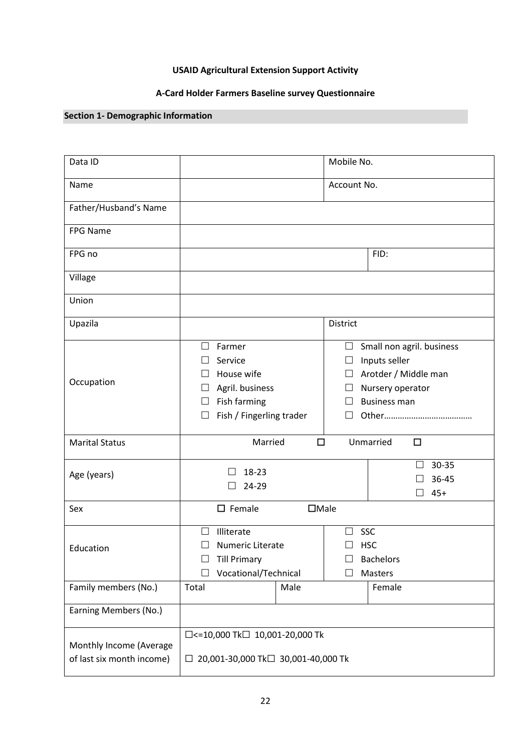# **USAID Agricultural Extension Support Activity**

# **A-Card Holder Farmers Baseline survey Questionnaire**

# **Section 1- Demographic Information**

| Data ID                                              |                                                                                                                                                                                                                                                                                             | Mobile No.                              |  |
|------------------------------------------------------|---------------------------------------------------------------------------------------------------------------------------------------------------------------------------------------------------------------------------------------------------------------------------------------------|-----------------------------------------|--|
| Name                                                 |                                                                                                                                                                                                                                                                                             | Account No.                             |  |
| Father/Husband's Name                                |                                                                                                                                                                                                                                                                                             |                                         |  |
| FPG Name                                             |                                                                                                                                                                                                                                                                                             |                                         |  |
| FPG no                                               | FID:                                                                                                                                                                                                                                                                                        |                                         |  |
| Village                                              |                                                                                                                                                                                                                                                                                             |                                         |  |
| Union                                                |                                                                                                                                                                                                                                                                                             |                                         |  |
| Upazila                                              |                                                                                                                                                                                                                                                                                             | District                                |  |
| Occupation                                           | Farmer<br>Small non agril. business<br>$\Box$<br>$\Box$<br>Service<br>Inputs seller<br>$\Box$<br>House wife<br>Arotder / Middle man<br>$\Box$<br>Agril. business<br>Nursery operator<br>⊔<br>Fish farming<br><b>Business man</b><br>⊔<br>Fish / Fingerling trader<br>Ш<br>$\vert \ \ \vert$ |                                         |  |
| <b>Marital Status</b>                                | Married                                                                                                                                                                                                                                                                                     | $\Box$<br>Unmarried<br>$\Box$           |  |
| Age (years)                                          | 18-23<br>24-29<br>П                                                                                                                                                                                                                                                                         | 30-35<br>36-45<br>$45+$<br>$\mathsf{L}$ |  |
| Sex                                                  | $\square$ Female                                                                                                                                                                                                                                                                            | $\Box$ Male                             |  |
| Education                                            | Illiterate<br>SSC<br>$\perp$<br>$\Box$<br><b>HSC</b><br>Numeric Literate<br><b>Till Primary</b><br><b>Bachelors</b><br>Vocational/Technical<br>Masters                                                                                                                                      |                                         |  |
| Family members (No.)                                 | Male<br>Female<br>Total                                                                                                                                                                                                                                                                     |                                         |  |
| Earning Members (No.)                                |                                                                                                                                                                                                                                                                                             |                                         |  |
| Monthly Income (Average<br>of last six month income) | □<=10,000 Tk□ 10,001-20,000 Tk<br>20,001-30,000 Tk□ 30,001-40,000 Tk<br>$\Box$                                                                                                                                                                                                              |                                         |  |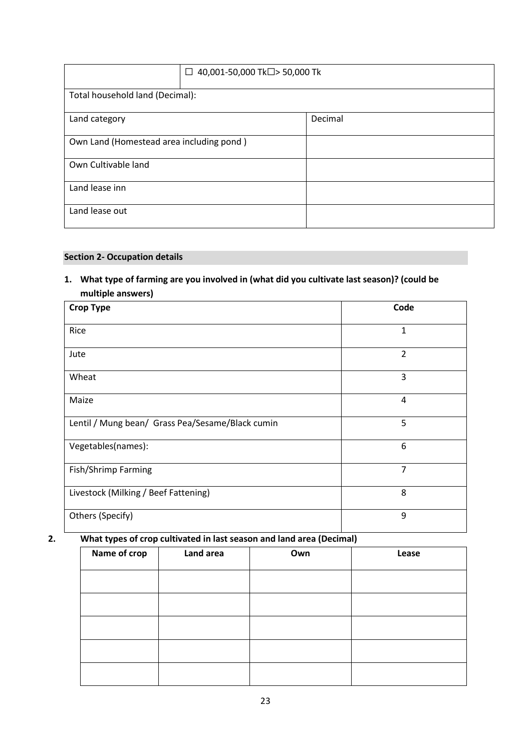|                                          | 40,001-50,000 Tk□> 50,000 Tk<br>$\Box$ |  |  |
|------------------------------------------|----------------------------------------|--|--|
| Total household land (Decimal):          |                                        |  |  |
| Decimal<br>Land category                 |                                        |  |  |
| Own Land (Homestead area including pond) |                                        |  |  |
| Own Cultivable land                      |                                        |  |  |
| Land lease inn                           |                                        |  |  |
| Land lease out                           |                                        |  |  |

# **Section 2- Occupation details**

**1. What type of farming are you involved in (what did you cultivate last season)? (could be multiple answers)**

| <b>Crop Type</b>                                 | Code           |
|--------------------------------------------------|----------------|
| Rice                                             | $\mathbf{1}$   |
| Jute                                             | $\overline{2}$ |
| Wheat                                            | 3              |
| Maize                                            | $\overline{4}$ |
| Lentil / Mung bean/ Grass Pea/Sesame/Black cumin | 5              |
| Vegetables(names):                               | 6              |
| Fish/Shrimp Farming                              | 7              |
| Livestock (Milking / Beef Fattening)             | 8              |
| Others (Specify)                                 | 9              |

# **2. What types of crop cultivated in last season and land area (Decimal)**

| . .<br>$\sim$ |           |     |       |
|---------------|-----------|-----|-------|
| Name of crop  | Land area | Own | Lease |
|               |           |     |       |
|               |           |     |       |
|               |           |     |       |
|               |           |     |       |
|               |           |     |       |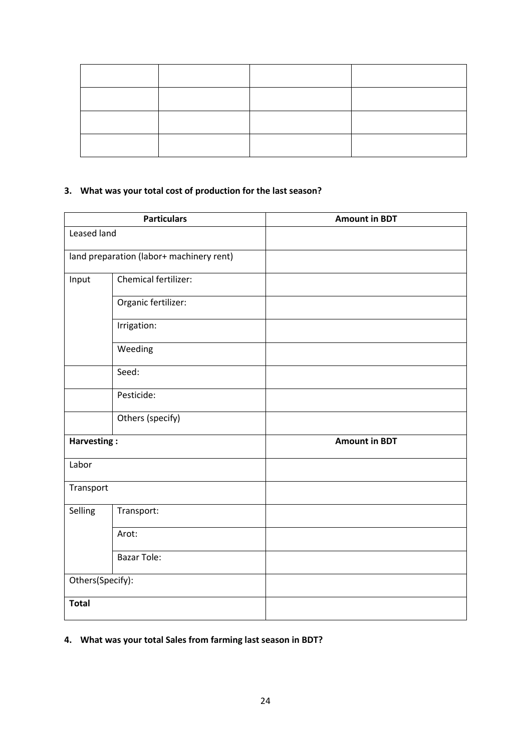# **3. What was your total cost of production for the last season?**

|                  | <b>Particulars</b>                       | <b>Amount in BDT</b> |
|------------------|------------------------------------------|----------------------|
| Leased land      |                                          |                      |
|                  | land preparation (labor+ machinery rent) |                      |
| Input            | Chemical fertilizer:                     |                      |
|                  | Organic fertilizer:                      |                      |
|                  | Irrigation:                              |                      |
|                  | Weeding                                  |                      |
|                  | Seed:                                    |                      |
|                  | Pesticide:                               |                      |
|                  | Others (specify)                         |                      |
| Harvesting:      |                                          | <b>Amount in BDT</b> |
| Labor            |                                          |                      |
| Transport        |                                          |                      |
| Selling          | Transport:                               |                      |
|                  | Arot:                                    |                      |
|                  | <b>Bazar Tole:</b>                       |                      |
| Others(Specify): |                                          |                      |
| <b>Total</b>     |                                          |                      |

# **4. What was your total Sales from farming last season in BDT?**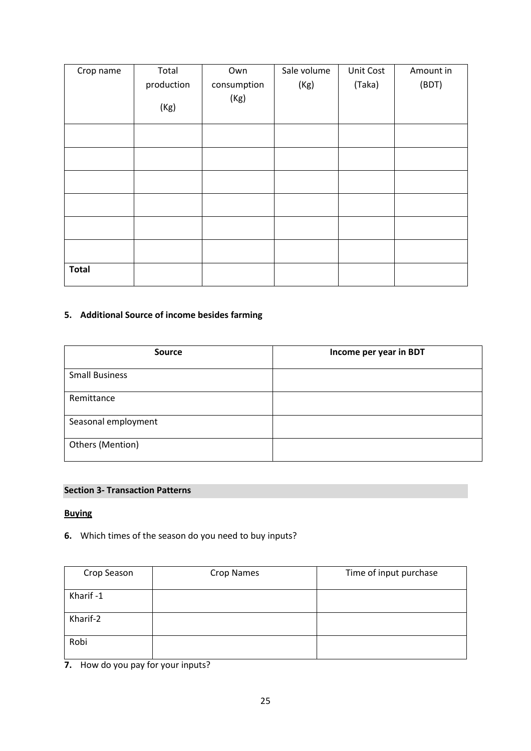| Crop name    | Total      | Own         | Sale volume | Unit Cost | Amount in |
|--------------|------------|-------------|-------------|-----------|-----------|
|              | production | consumption | (Kg)        | (Taka)    | (BDT)     |
|              | (Kg)       | (Kg)        |             |           |           |
|              |            |             |             |           |           |
|              |            |             |             |           |           |
|              |            |             |             |           |           |
|              |            |             |             |           |           |
|              |            |             |             |           |           |
|              |            |             |             |           |           |
| <b>Total</b> |            |             |             |           |           |

# **5. Additional Source of income besides farming**

| <b>Source</b>         | Income per year in BDT |
|-----------------------|------------------------|
| <b>Small Business</b> |                        |
| Remittance            |                        |
| Seasonal employment   |                        |
| Others (Mention)      |                        |

# **Section 3- Transaction Patterns**

# **Buying**

**6.** Which times of the season do you need to buy inputs?

| Crop Season | Crop Names | Time of input purchase |
|-------------|------------|------------------------|
| Kharif-1    |            |                        |
| Kharif-2    |            |                        |
| Robi        |            |                        |

**7.** How do you pay for your inputs?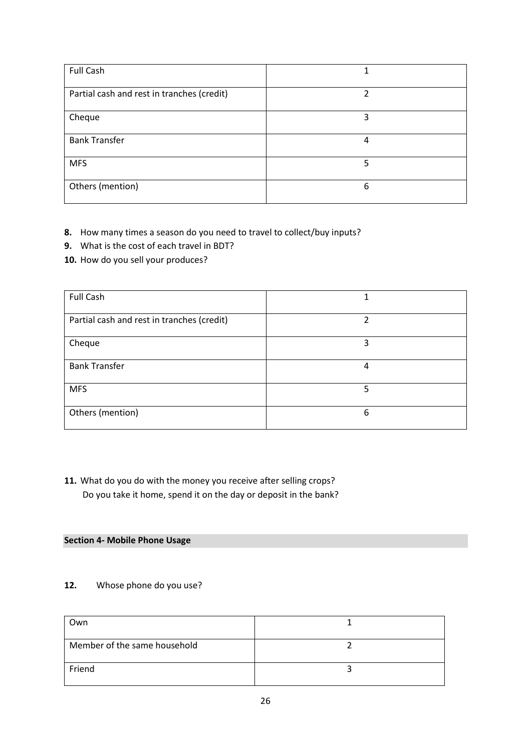| <b>Full Cash</b>                           |   |
|--------------------------------------------|---|
| Partial cash and rest in tranches (credit) | ำ |
| Cheque                                     | 3 |
| <b>Bank Transfer</b>                       | 4 |
| <b>MFS</b>                                 | 5 |
| Others (mention)                           | 6 |

- **8.** How many times a season do you need to travel to collect/buy inputs?
- **9.** What is the cost of each travel in BDT?
- **10.** How do you sell your produces?

| <b>Full Cash</b>                           |   |
|--------------------------------------------|---|
| Partial cash and rest in tranches (credit) | າ |
| Cheque                                     | 3 |
| <b>Bank Transfer</b>                       | 4 |
| <b>MFS</b>                                 | 5 |
| Others (mention)                           | 6 |

**11.** What do you do with the money you receive after selling crops? Do you take it home, spend it on the day or deposit in the bank?

### **Section 4- Mobile Phone Usage**

# **12.** Whose phone do you use?

| Own                          |  |
|------------------------------|--|
| Member of the same household |  |
| Friend                       |  |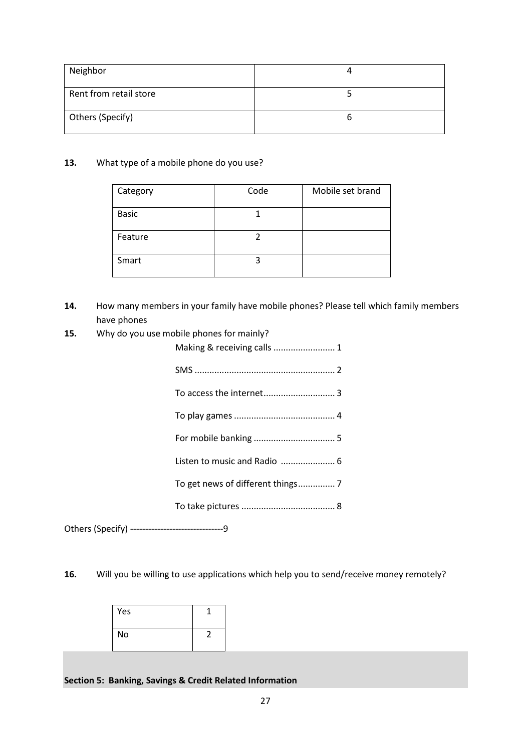| Neighbor               |  |
|------------------------|--|
|                        |  |
| Rent from retail store |  |
| Others (Specify)       |  |

### **13.** What type of a mobile phone do you use?

| Category     | Code | Mobile set brand |
|--------------|------|------------------|
| <b>Basic</b> |      |                  |
| Feature      |      |                  |
| Smart        |      |                  |

- **14.** How many members in your family have mobile phones? Please tell which family members have phones
- **15.** Why do you use mobile phones for mainly?

| Making & receiving calls  1 |
|-----------------------------|
|                             |
|                             |
|                             |
|                             |
|                             |
|                             |
|                             |
|                             |

Others (Specify) -------------------------------9

**16.** Will you be willing to use applications which help you to send/receive money remotely?

| Yes |  |
|-----|--|
| No  |  |

**Section 5: Banking, Savings & Credit Related Information**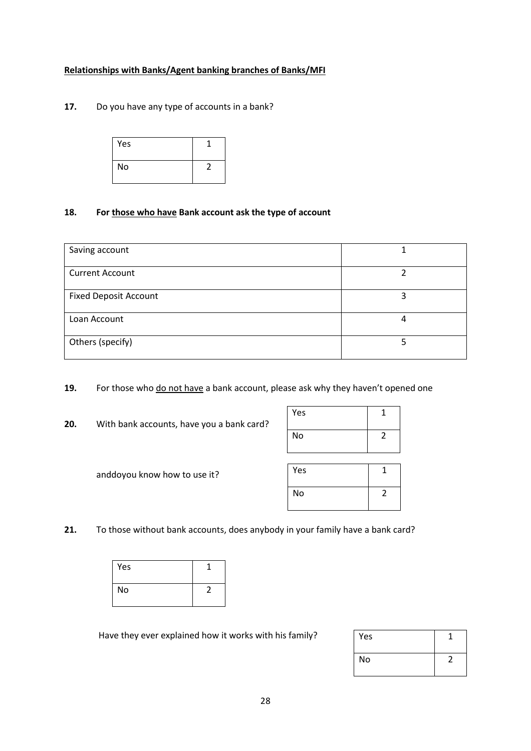### **Relationships with Banks/Agent banking branches of Banks/MFI**

**17.** Do you have any type of accounts in a bank?

| Yes |  |
|-----|--|
| No  |  |

### **18. For those who have Bank account ask the type of account**

| Saving account               |   |
|------------------------------|---|
| <b>Current Account</b>       |   |
| <b>Fixed Deposit Account</b> | っ |
| Loan Account                 | 4 |
| Others (specify)             |   |

**19.** For those who do not have a bank account, please ask why they haven't opened one

**20.** With bank accounts, have you a bank card?

| Yes |  |
|-----|--|
| No  |  |

| anddoyou know how to use it? |  |  |  |  |
|------------------------------|--|--|--|--|
|------------------------------|--|--|--|--|

| Yes |  |
|-----|--|
| No  |  |

**21.** To those without bank accounts, does anybody in your family have a bank card?

| Yes |  |
|-----|--|
| No  |  |

Have they ever explained how it works with his family?

| Yes |  |
|-----|--|
| No  |  |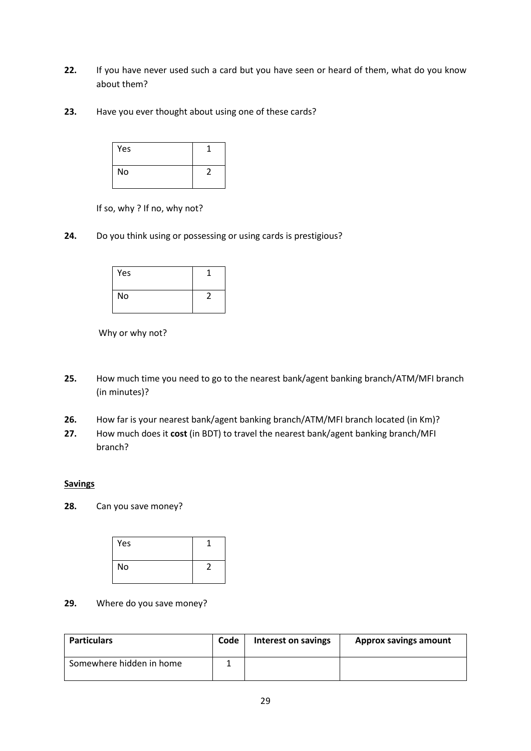- **22.** If you have never used such a card but you have seen or heard of them, what do you know about them?
- **23.** Have you ever thought about using one of these cards?



If so, why ? If no, why not?

**24.** Do you think using or possessing or using cards is prestigious?



Why or why not?

- **25.** How much time you need to go to the nearest bank/agent banking branch/ATM/MFI branch (in minutes)?
- **26.** How far is your nearest bank/agent banking branch/ATM/MFI branch located (in Km)?
- **27.** How much does it **cost** (in BDT) to travel the nearest bank/agent banking branch/MFI branch?

### **Savings**

**28.** Can you save money?



**29.** Where do you save money?

| <b>Particulars</b>       | Code | Interest on savings | <b>Approx savings amount</b> |
|--------------------------|------|---------------------|------------------------------|
| Somewhere hidden in home |      |                     |                              |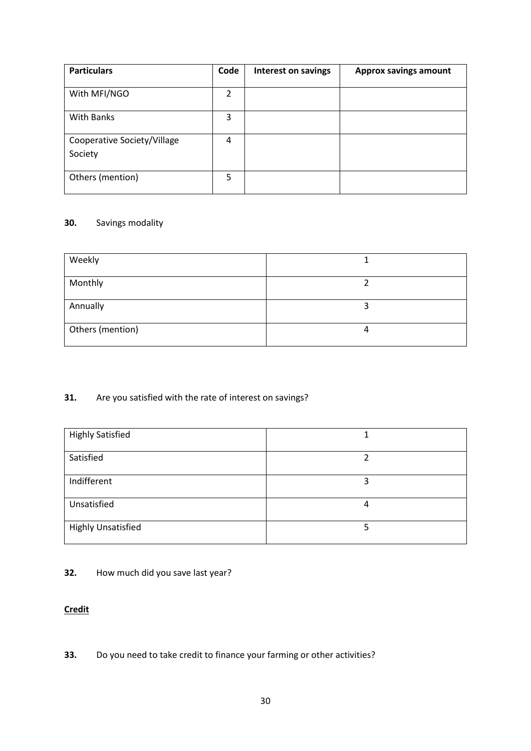| <b>Particulars</b>                     | Code | <b>Interest on savings</b> | <b>Approx savings amount</b> |
|----------------------------------------|------|----------------------------|------------------------------|
| With MFI/NGO                           | 2    |                            |                              |
| <b>With Banks</b>                      | 3    |                            |                              |
| Cooperative Society/Village<br>Society | 4    |                            |                              |
| Others (mention)                       | 5    |                            |                              |

# **30.** Savings modality

| Weekly           |  |
|------------------|--|
|                  |  |
| Monthly          |  |
|                  |  |
| Annually         |  |
|                  |  |
|                  |  |
| Others (mention) |  |
|                  |  |
|                  |  |

# **31.** Are you satisfied with the rate of interest on savings?

| <b>Highly Satisfied</b>   |   |
|---------------------------|---|
| Satisfied                 |   |
| Indifferent               | 3 |
| Unsatisfied               | 4 |
| <b>Highly Unsatisfied</b> |   |

# **32.** How much did you save last year?

# **Credit**

**33.** Do you need to take credit to finance your farming or other activities?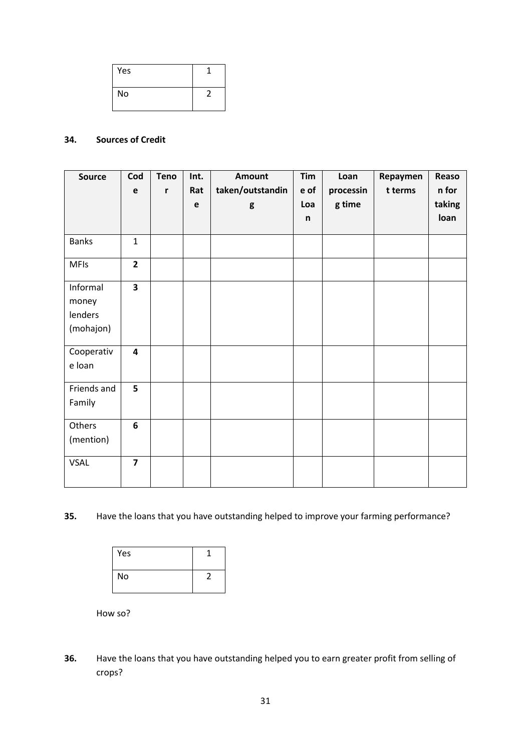| Yes |  |
|-----|--|
| No  |  |

# **34. Sources of Credit**

| <b>Source</b> | Cod            | <b>Teno</b> | Int.        | <b>Amount</b>    | Tim  | Loan      | Repaymen | Reaso  |
|---------------|----------------|-------------|-------------|------------------|------|-----------|----------|--------|
|               | $\mathbf e$    | r           | Rat         | taken/outstandin | e of | processin | t terms  | n for  |
|               |                |             | $\mathbf e$ | g                | Loa  | g time    |          | taking |
|               |                |             |             |                  | n    |           |          | loan   |
| <b>Banks</b>  | $\mathbf{1}$   |             |             |                  |      |           |          |        |
| <b>MFIs</b>   | $\overline{2}$ |             |             |                  |      |           |          |        |
| Informal      | 3              |             |             |                  |      |           |          |        |
| money         |                |             |             |                  |      |           |          |        |
| lenders       |                |             |             |                  |      |           |          |        |
| (mohajon)     |                |             |             |                  |      |           |          |        |
| Cooperativ    | 4              |             |             |                  |      |           |          |        |
| e loan        |                |             |             |                  |      |           |          |        |
| Friends and   | 5              |             |             |                  |      |           |          |        |
| Family        |                |             |             |                  |      |           |          |        |
| Others        | 6              |             |             |                  |      |           |          |        |
| (mention)     |                |             |             |                  |      |           |          |        |
| <b>VSAL</b>   | $\overline{7}$ |             |             |                  |      |           |          |        |

**35.** Have the loans that you have outstanding helped to improve your farming performance?



How so?

**36.** Have the loans that you have outstanding helped you to earn greater profit from selling of crops?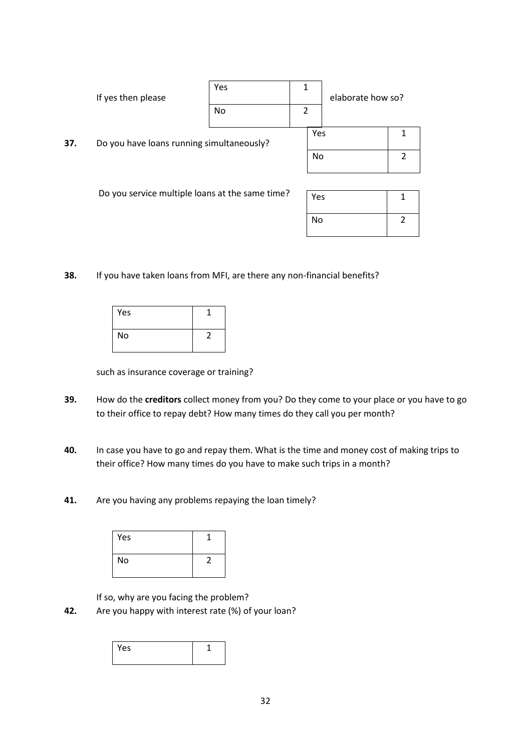|                                                 | If yes then please                        | Yes<br>No | 1<br>2 |     | elaborate how so? |  |
|-------------------------------------------------|-------------------------------------------|-----------|--------|-----|-------------------|--|
| 37.                                             | Do you have loans running simultaneously? |           |        | Yes |                   |  |
|                                                 |                                           |           |        | No  |                   |  |
|                                                 |                                           |           |        |     |                   |  |
| Do you service multiple loans at the same time? |                                           |           |        | Yes |                   |  |

**38.** If you have taken loans from MFI, are there any non-financial benefits?

| Yes |  |
|-----|--|
| No  |  |

such as insurance coverage or training?

**39.** How do the **creditors** collect money from you? Do they come to your place or you have to go to their office to repay debt? How many times do they call you per month?

No 2

- **40.** In case you have to go and repay them. What is the time and money cost of making trips to their office? How many times do you have to make such trips in a month?
- **41.** Are you having any problems repaying the loan timely?

| Yes |  |
|-----|--|
| No  |  |

If so, why are you facing the problem?

**42.** Are you happy with interest rate (%) of your loan?

| Yes |  |
|-----|--|
|     |  |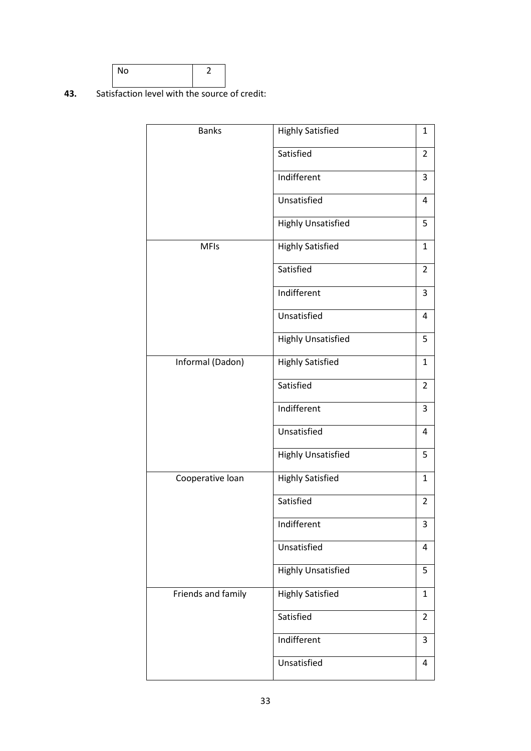

**43.** Satisfaction level with the source of credit:

| <b>Banks</b>       | <b>Highly Satisfied</b>   | 1              |
|--------------------|---------------------------|----------------|
|                    | Satisfied                 | $\overline{2}$ |
|                    | Indifferent               | 3              |
|                    | Unsatisfied               | 4              |
|                    | <b>Highly Unsatisfied</b> | 5              |
| <b>MFIs</b>        | <b>Highly Satisfied</b>   | 1              |
|                    | Satisfied                 | 2              |
|                    | Indifferent               | 3              |
|                    | Unsatisfied               | 4              |
|                    | <b>Highly Unsatisfied</b> | 5              |
| Informal (Dadon)   | <b>Highly Satisfied</b>   | 1              |
|                    | Satisfied                 | $\overline{2}$ |
|                    | Indifferent               | 3              |
|                    | Unsatisfied               | 4              |
|                    | <b>Highly Unsatisfied</b> | 5              |
| Cooperative loan   | <b>Highly Satisfied</b>   | 1              |
|                    | Satisfied                 | 2              |
|                    | Indifferent               | 3              |
|                    | Unsatisfied               | 4              |
|                    | <b>Highly Unsatisfied</b> | 5              |
| Friends and family | <b>Highly Satisfied</b>   | 1              |
|                    | Satisfied                 | $\overline{2}$ |
|                    | Indifferent               | 3              |
|                    | Unsatisfied               | 4              |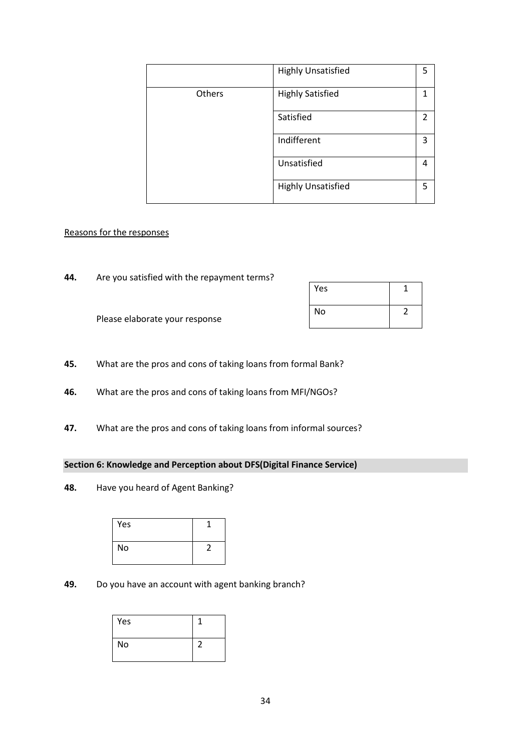|        | <b>Highly Unsatisfied</b> | 5              |
|--------|---------------------------|----------------|
|        |                           |                |
| Others | <b>Highly Satisfied</b>   |                |
|        |                           |                |
|        | Satisfied                 | $\mathfrak{p}$ |
|        |                           |                |
|        | Indifferent               | 3              |
|        |                           |                |
|        | Unsatisfied               | 4              |
|        |                           |                |
|        | <b>Highly Unsatisfied</b> | 5              |
|        |                           |                |

### Reasons for the responses

**44.** Are you satisfied with the repayment terms?

| Yes |  |
|-----|--|
| No  |  |

Please elaborate your response

- **45.** What are the pros and cons of taking loans from formal Bank?
- **46.** What are the pros and cons of taking loans from MFI/NGOs?
- **47.** What are the pros and cons of taking loans from informal sources?

### **Section 6: Knowledge and Perception about DFS(Digital Finance Service)**

**48.** Have you heard of Agent Banking?



# **49.** Do you have an account with agent banking branch?

| Yes       |  |
|-----------|--|
| <b>No</b> |  |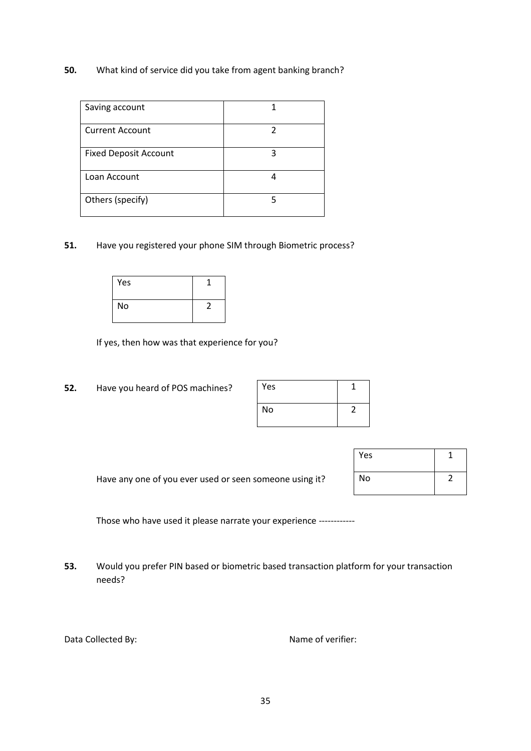**50.** What kind of service did you take from agent banking branch?

| Saving account               |  |
|------------------------------|--|
| <b>Current Account</b>       |  |
| <b>Fixed Deposit Account</b> |  |
| Loan Account                 |  |
| Others (specify)             |  |

**51.** Have you registered your phone SIM through Biometric process?

| Yes |  |
|-----|--|
| No  |  |

If yes, then how was that experience for you?

**52.** Have you heard of POS machines?

| Yes |  |
|-----|--|
| No  |  |

| Have any one of you ever used or seen someone using it? |  |
|---------------------------------------------------------|--|
|---------------------------------------------------------|--|

| Yes |  |
|-----|--|
| No  |  |

Those who have used it please narrate your experience ------------

**53.** Would you prefer PIN based or biometric based transaction platform for your transaction needs?

|  |  | Data Collected By: |  |
|--|--|--------------------|--|
|--|--|--------------------|--|

Name of verifier: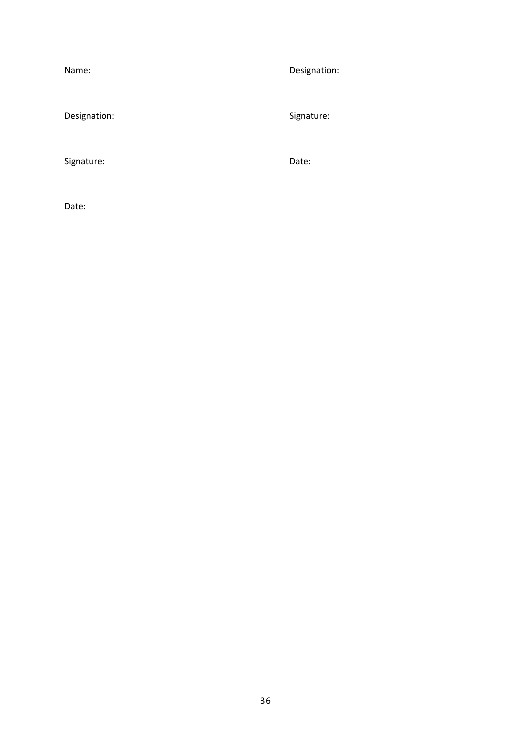| Name:        | Designation: |
|--------------|--------------|
| Designation: | Signature:   |
| Signature:   | Date:        |
| Date:        |              |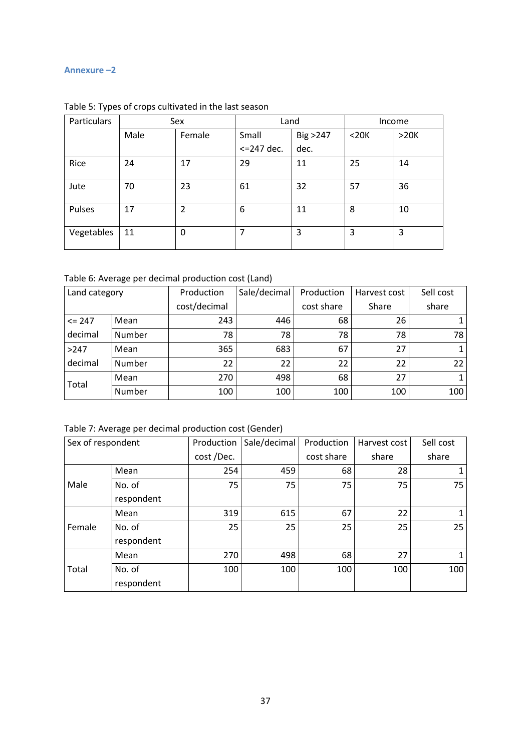#### <span id="page-36-0"></span>**Annexure –2**

| Particulars | Sex  |        | Land          |           | Income     |      |
|-------------|------|--------|---------------|-----------|------------|------|
|             | Male | Female | Small         | Big > 247 | $<$ 20 $K$ | >20K |
|             |      |        | $<=$ 247 dec. | dec.      |            |      |
| Rice        | 24   | 17     | 29            | 11        | 25         | 14   |
| Jute        | 70   | 23     | 61            | 32        | 57         | 36   |
| Pulses      | 17   | 2      | 6             | 11        | 8          | 10   |
| Vegetables  | 11   | 0      | 7             | 3         | 3          | 3    |

<span id="page-36-1"></span>Table 5: Types of crops cultivated in the last season

<span id="page-36-2"></span>Table 6: Average per decimal production cost (Land)

| Land category |        | Production   | Sale/decimal | Production | Harvest cost | Sell cost |
|---------------|--------|--------------|--------------|------------|--------------|-----------|
|               |        | cost/decimal |              | cost share | Share        | share     |
| $\leq$ 247    | Mean   | 243          | 446          | 68         | 26           |           |
| decimal       | Number | 78           | 78           | 78         | 78           | 78        |
| >247          | Mean   | 365          | 683          | 67         | 27           |           |
| decimal       | Number | 22           | 22           | 22         | 22           | 22        |
| Total         | Mean   | 270          | 498          | 68         | 27           |           |
|               | Number | 100          | 100          | 100        | 100          | 100       |

<span id="page-36-3"></span>Table 7: Average per decimal production cost (Gender)

<span id="page-36-4"></span>

| Sex of respondent |            | Production | Sale/decimal | Production | Harvest cost | Sell cost |
|-------------------|------------|------------|--------------|------------|--------------|-----------|
|                   |            | cost/Dec.  |              | cost share | share        | share     |
|                   | Mean       | 254        | 459          | 68         | 28           |           |
| Male              | No. of     | 75         | 75           | 75         | 75           | 75        |
|                   | respondent |            |              |            |              |           |
|                   | Mean       | 319        | 615          | 67         | 22           |           |
| Female            | No. of     | 25         | 25           | 25         | 25           | 25        |
|                   | respondent |            |              |            |              |           |
|                   | Mean       | 270        | 498          | 68         | 27           |           |
| Total             | No. of     | 100        | 100          | 100        | 100          | 100       |
|                   | respondent |            |              |            |              |           |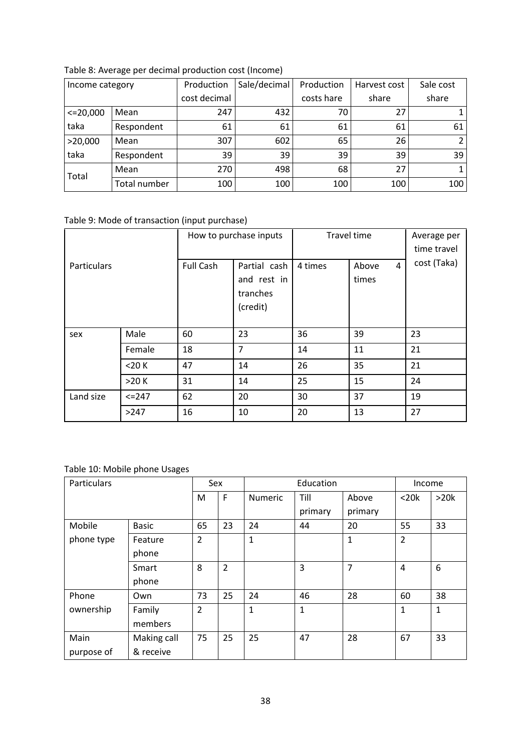|               | Income category |              | Sale/decimal | Production | Harvest cost | Sale cost      |
|---------------|-----------------|--------------|--------------|------------|--------------|----------------|
|               |                 | cost decimal |              | costs hare | share        | share          |
| $\leq 20,000$ | Mean            | 247          | 432          | 70         | 27           |                |
| taka          | Respondent      | 61           | 61           | 61         | 61           | 61             |
| >20,000       | Mean            | 307          | 602          | 65         | 26           | $\overline{2}$ |
| taka          | Respondent      | 39           | 39           | 39         | 39           | 39             |
| Total         | Mean            | 270          | 498          | 68         | 27           |                |
|               | Total number    | 100          | 100          | 100        | 100          | 100            |

Table 8: Average per decimal production cost (Income)

# <span id="page-37-0"></span>Table 9: Mode of transaction (input purchase)

|                    |            |                  | How to purchase inputs                              | Travel time | Average per<br>time travel |             |
|--------------------|------------|------------------|-----------------------------------------------------|-------------|----------------------------|-------------|
| <b>Particulars</b> |            | <b>Full Cash</b> | Partial cash<br>and rest in<br>tranches<br>(credit) | 4 times     | 4<br>Above<br>times        | cost (Taka) |
| sex                | Male       | 60               | 23                                                  | 36          | 39                         | 23          |
|                    | Female     | 18               | $\overline{7}$                                      | 14          | 11                         | 21          |
|                    | $<$ 20 $K$ | 47               | 14                                                  | 26          | 35                         | 21          |
|                    | >20 K      | 31               | 14                                                  | 25          | 15                         | 24          |
| Land size          | $<=$ 247   | 62               | 20                                                  | 30          | 37                         | 19          |
|                    | >247       | 16               | 10                                                  | 20          | 13                         | 27          |

# <span id="page-37-1"></span>Table 10: Mobile phone Usages

| Particulars |              | Sex            |                |              | Education    |              | Income         |              |
|-------------|--------------|----------------|----------------|--------------|--------------|--------------|----------------|--------------|
|             |              | M              | F              | Numeric      | Till         | Above        | $<$ 20 $k$     | >20k         |
|             |              |                |                |              | primary      | primary      |                |              |
| Mobile      | <b>Basic</b> | 65             | 23             | 24           | 44           | 20           | 55             | 33           |
| phone type  | Feature      | $\overline{2}$ |                | $\mathbf{1}$ |              | $\mathbf{1}$ | $\overline{2}$ |              |
|             | phone        |                |                |              |              |              |                |              |
|             | Smart        | 8              | $\overline{2}$ |              | 3            | 7            | 4              | 6            |
|             | phone        |                |                |              |              |              |                |              |
| Phone       | Own          | 73             | 25             | 24           | 46           | 28           | 60             | 38           |
| ownership   | Family       | $\overline{2}$ |                | $\mathbf{1}$ | $\mathbf{1}$ |              | $\mathbf{1}$   | $\mathbf{1}$ |
|             | members      |                |                |              |              |              |                |              |
| Main        | Making call  | 75             | 25             | 25           | 47           | 28           | 67             | 33           |
| purpose of  | & receive    |                |                |              |              |              |                |              |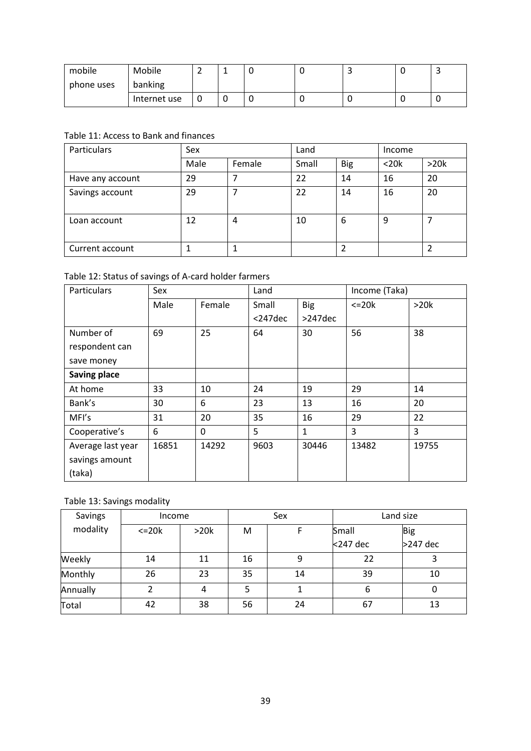| mobile     | Mobile       | - | - | J |  | ے |
|------------|--------------|---|---|---|--|---|
| phone uses | banking      |   |   |   |  |   |
|            | Internet use |   | ີ | ╰ |  | ັ |

# <span id="page-38-0"></span>Table 11: Access to Bank and finances

| Particulars      | Sex  |        | Land  |            | Income     |      |
|------------------|------|--------|-------|------------|------------|------|
|                  | Male | Female | Small | <b>Big</b> | $<$ 20 $k$ | >20k |
| Have any account | 29   | 7      | 22    | 14         | 16         | 20   |
| Savings account  | 29   |        | 22    | 14         | 16         | 20   |
| Loan account     | 12   | 4      | 10    | 6          | 9          |      |
| Current account  |      |        |       |            |            |      |

# <span id="page-38-1"></span>Table 12: Status of savings of A-card holder farmers

| Particulars         | Sex   |          | Land     |              |               | Income (Taka) |  |
|---------------------|-------|----------|----------|--------------|---------------|---------------|--|
|                     | Male  | Female   | Small    | <b>Big</b>   | $\leq$ 20 $k$ | >20k          |  |
|                     |       |          | $247dec$ | $>247$ dec   |               |               |  |
| Number of           | 69    | 25       | 64       | 30           | 56            | 38            |  |
| respondent can      |       |          |          |              |               |               |  |
| save money          |       |          |          |              |               |               |  |
| <b>Saving place</b> |       |          |          |              |               |               |  |
| At home             | 33    | 10       | 24       | 19           | 29            | 14            |  |
| Bank's              | 30    | 6        | 23       | 13           | 16            | 20            |  |
| MFI's               | 31    | 20       | 35       | 16           | 29            | 22            |  |
| Cooperative's       | 6     | $\Omega$ | 5        | $\mathbf{1}$ | 3             | 3             |  |
| Average last year   | 16851 | 14292    | 9603     | 30446        | 13482         | 19755         |  |
| savings amount      |       |          |          |              |               |               |  |
| (taka)              |       |          |          |              |               |               |  |

# <span id="page-38-2"></span>Table 13: Savings modality

<span id="page-38-3"></span>

| Savings  | Income        |      | Sex |    | Land size |            |
|----------|---------------|------|-----|----|-----------|------------|
| modality | $\leq$ 20 $k$ | >20k | M   |    | Small     | <b>Big</b> |
|          |               |      |     |    | <247 dec  | >247 dec   |
| Weekly   | 14            | 11   | 16  | 9  | 22        |            |
| Monthly  | 26            | 23   | 35  | 14 | 39        | 10         |
| Annually |               | 4    | 5   |    | 6         |            |
| Total    | 42            | 38   | 56  | 24 | 67        | 13         |